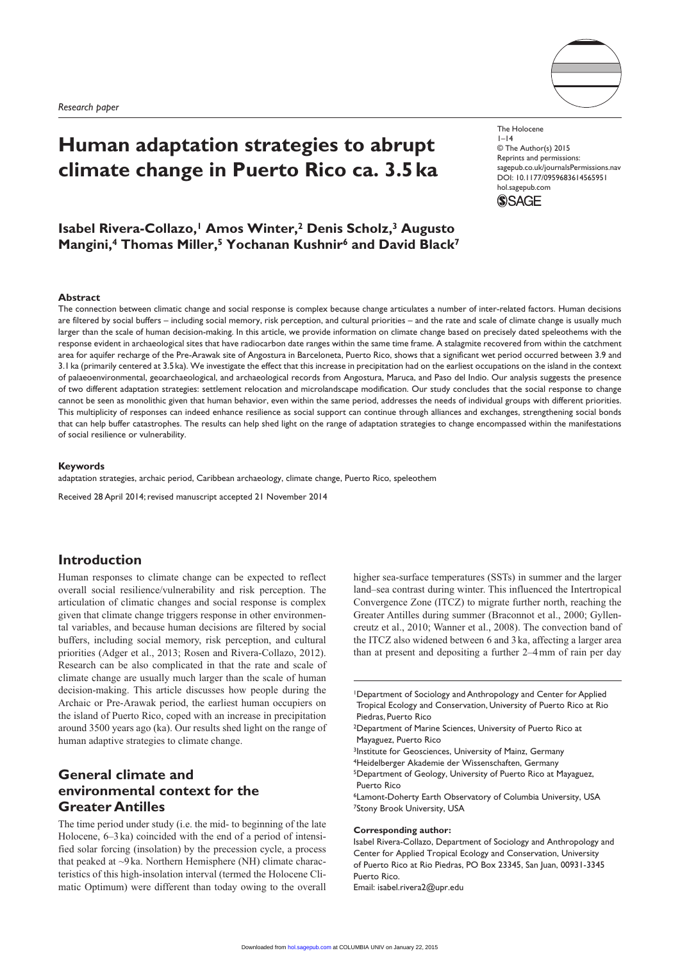

# **Human adaptation strategies to abrupt climate change in Puerto Rico ca. 3.5ka**

The Holocene  $1 - 14$ © The Author(s) 2015 Reprints and permissions: sagepub.co.uk/journalsPermissions.nav DOI: 10.1177/0959683614565951 hol.sagepub.com



# **Isabel Rivera-Collazo,1 Amos Winter,2 Denis Scholz,3 Augusto Mangini,4 Thomas Miller,5 Yochanan Kushnir6 and David Black7**

#### **Abstract**

The connection between climatic change and social response is complex because change articulates a number of inter-related factors. Human decisions are filtered by social buffers – including social memory, risk perception, and cultural priorities – and the rate and scale of climate change is usually much larger than the scale of human decision-making. In this article, we provide information on climate change based on precisely dated speleothems with the response evident in archaeological sites that have radiocarbon date ranges within the same time frame. A stalagmite recovered from within the catchment area for aquifer recharge of the Pre-Arawak site of Angostura in Barceloneta, Puerto Rico, shows that a significant wet period occurred between 3.9 and 3.1 ka (primarily centered at 3.5 ka). We investigate the effect that this increase in precipitation had on the earliest occupations on the island in the context of palaeoenvironmental, geoarchaeological, and archaeological records from Angostura, Maruca, and Paso del Indio. Our analysis suggests the presence of two different adaptation strategies: settlement relocation and microlandscape modification. Our study concludes that the social response to change cannot be seen as monolithic given that human behavior, even within the same period, addresses the needs of individual groups with different priorities. This multiplicity of responses can indeed enhance resilience as social support can continue through alliances and exchanges, strengthening social bonds that can help buffer catastrophes. The results can help shed light on the range of adaptation strategies to change encompassed within the manifestations of social resilience or vulnerability.

#### **Keywords**

adaptation strategies, archaic period, Caribbean archaeology, climate change, Puerto Rico, speleothem

Received 28 April 2014; revised manuscript accepted 21 November 2014

### **Introduction**

Human responses to climate change can be expected to reflect overall social resilience/vulnerability and risk perception. The articulation of climatic changes and social response is complex given that climate change triggers response in other environmental variables, and because human decisions are filtered by social buffers, including social memory, risk perception, and cultural priorities (Adger et al., 2013; Rosen and Rivera-Collazo, 2012). Research can be also complicated in that the rate and scale of climate change are usually much larger than the scale of human decision-making. This article discusses how people during the Archaic or Pre-Arawak period, the earliest human occupiers on the island of Puerto Rico, coped with an increase in precipitation around 3500 years ago (ka). Our results shed light on the range of human adaptive strategies to climate change.

# **General climate and environmental context for the Greater Antilles**

The time period under study (i.e. the mid- to beginning of the late Holocene, 6–3ka) coincided with the end of a period of intensified solar forcing (insolation) by the precession cycle, a process that peaked at ~9 ka. Northern Hemisphere (NH) climate characteristics of this high-insolation interval (termed the Holocene Climatic Optimum) were different than today owing to the overall

higher sea-surface temperatures (SSTs) in summer and the larger land–sea contrast during winter. This influenced the Intertropical Convergence Zone (ITCZ) to migrate further north, reaching the Greater Antilles during summer (Braconnot et al., 2000; Gyllencreutz et al., 2010; Wanner et al., 2008). The convection band of the ITCZ also widened between 6 and 3ka, affecting a larger area than at present and depositing a further 2–4mm of rain per day

6Lamont-Doherty Earth Observatory of Columbia University, USA 7Stony Brook University, USA

#### **Corresponding author:**

Email: isabel.rivera2@upr.edu

<sup>1</sup>Department of Sociology and Anthropology and Center for Applied Tropical Ecology and Conservation, University of Puerto Rico at Rio Piedras, Puerto Rico

<sup>2</sup>Department of Marine Sciences, University of Puerto Rico at Mayaguez, Puerto Rico

<sup>3</sup>Institute for Geosciences, University of Mainz, Germany

<sup>4</sup>Heidelberger Akademie der Wissenschaften, Germany

<sup>5</sup>Department of Geology, University of Puerto Rico at Mayaguez, Puerto Rico

Isabel Rivera-Collazo, Department of Sociology and Anthropology and Center for Applied Tropical Ecology and Conservation, University of Puerto Rico at Rio Piedras, PO Box 23345, San Juan, 00931-3345 Puerto Rico.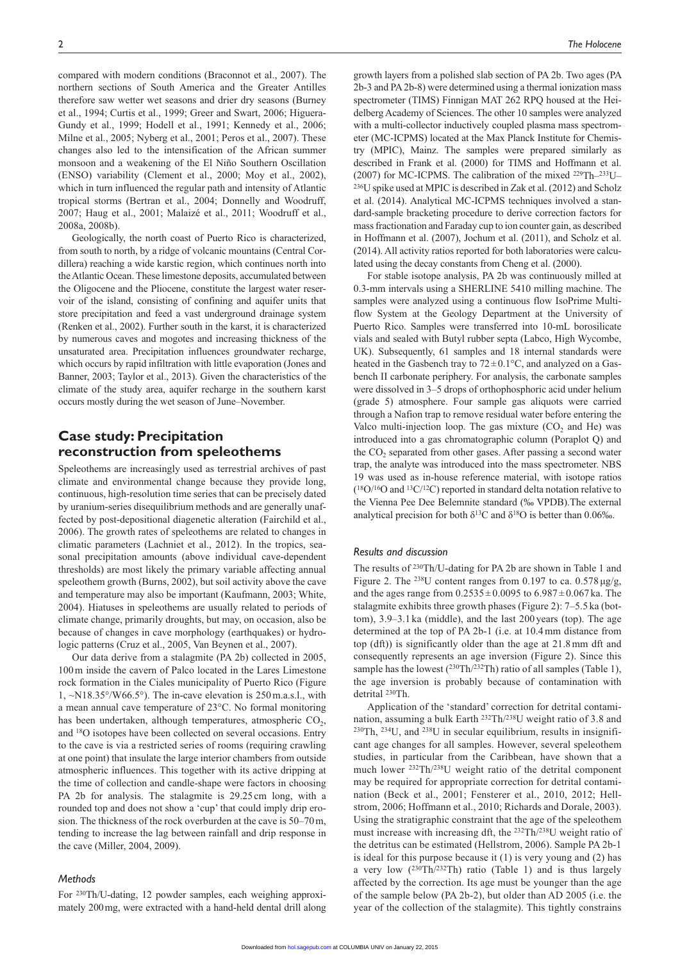compared with modern conditions (Braconnot et al., 2007). The northern sections of South America and the Greater Antilles therefore saw wetter wet seasons and drier dry seasons (Burney et al., 1994; Curtis et al., 1999; Greer and Swart, 2006; Higuera-Gundy et al., 1999; Hodell et al., 1991; Kennedy et al., 2006; Milne et al., 2005; Nyberg et al., 2001; Peros et al., 2007). These changes also led to the intensification of the African summer monsoon and a weakening of the El Niño Southern Oscillation (ENSO) variability (Clement et al., 2000; Moy et al., 2002), which in turn influenced the regular path and intensity of Atlantic tropical storms (Bertran et al., 2004; Donnelly and Woodruff, 2007; Haug et al., 2001; Malaizé et al., 2011; Woodruff et al., 2008a, 2008b).

Geologically, the north coast of Puerto Rico is characterized, from south to north, by a ridge of volcanic mountains (Central Cordillera) reaching a wide karstic region, which continues north into the Atlantic Ocean. These limestone deposits, accumulated between the Oligocene and the Pliocene, constitute the largest water reservoir of the island, consisting of confining and aquifer units that store precipitation and feed a vast underground drainage system (Renken et al., 2002). Further south in the karst, it is characterized by numerous caves and mogotes and increasing thickness of the unsaturated area. Precipitation influences groundwater recharge, which occurs by rapid infiltration with little evaporation (Jones and Banner, 2003; Taylor et al., 2013). Given the characteristics of the climate of the study area, aquifer recharge in the southern karst occurs mostly during the wet season of June–November.

### **Case study: Precipitation reconstruction from speleothems**

Speleothems are increasingly used as terrestrial archives of past climate and environmental change because they provide long, continuous, high-resolution time series that can be precisely dated by uranium-series disequilibrium methods and are generally unaffected by post-depositional diagenetic alteration (Fairchild et al., 2006). The growth rates of speleothems are related to changes in climatic parameters (Lachniet et al., 2012). In the tropics, seasonal precipitation amounts (above individual cave-dependent thresholds) are most likely the primary variable affecting annual speleothem growth (Burns, 2002), but soil activity above the cave and temperature may also be important (Kaufmann, 2003; White, 2004). Hiatuses in speleothems are usually related to periods of climate change, primarily droughts, but may, on occasion, also be because of changes in cave morphology (earthquakes) or hydrologic patterns (Cruz et al., 2005, Van Beynen et al., 2007).

Our data derive from a stalagmite (PA 2b) collected in 2005, 100m inside the cavern of Palco located in the Lares Limestone rock formation in the Ciales municipality of Puerto Rico (Figure 1, ~N18.35°/W66.5°). The in-cave elevation is 250m.a.s.l., with a mean annual cave temperature of 23°C. No formal monitoring has been undertaken, although temperatures, atmospheric  $CO<sub>2</sub>$ , and 18O isotopes have been collected on several occasions. Entry to the cave is via a restricted series of rooms (requiring crawling at one point) that insulate the large interior chambers from outside atmospheric influences. This together with its active dripping at the time of collection and candle-shape were factors in choosing PA 2b for analysis. The stalagmite is 29.25 cm long, with a rounded top and does not show a 'cup' that could imply drip erosion. The thickness of the rock overburden at the cave is 50–70m, tending to increase the lag between rainfall and drip response in the cave (Miller, 2004, 2009).

### *Methods*

For 230Th/U-dating, 12 powder samples, each weighing approximately 200mg, were extracted with a hand-held dental drill along growth layers from a polished slab section of PA 2b. Two ages (PA 2b-3 and PA 2b-8) were determined using a thermal ionization mass spectrometer (TIMS) Finnigan MAT 262 RPQ housed at the Heidelberg Academy of Sciences. The other 10 samples were analyzed with a multi-collector inductively coupled plasma mass spectrometer (MC-ICPMS) located at the Max Planck Institute for Chemistry (MPIC), Mainz. The samples were prepared similarly as described in Frank et al. (2000) for TIMS and Hoffmann et al. (2007) for MC-ICPMS. The calibration of the mixed 229Th–233U– 236U spike used at MPIC is described in Zak et al. (2012) and Scholz et al. (2014). Analytical MC-ICPMS techniques involved a standard-sample bracketing procedure to derive correction factors for mass fractionation and Faraday cup to ion counter gain, as described in Hoffmann et al. (2007), Jochum et al. (2011), and Scholz et al. (2014). All activity ratios reported for both laboratories were calculated using the decay constants from Cheng et al. (2000).

For stable isotope analysis, PA 2b was continuously milled at 0.3-mm intervals using a SHERLINE 5410 milling machine. The samples were analyzed using a continuous flow IsoPrime Multiflow System at the Geology Department at the University of Puerto Rico. Samples were transferred into 10-mL borosilicate vials and sealed with Butyl rubber septa (Labco, High Wycombe, UK). Subsequently, 61 samples and 18 internal standards were heated in the Gasbench tray to  $72 \pm 0.1$ °C, and analyzed on a Gasbench II carbonate periphery. For analysis, the carbonate samples were dissolved in 3–5 drops of orthophosphoric acid under helium (grade 5) atmosphere. Four sample gas aliquots were carried through a Nafion trap to remove residual water before entering the Valco multi-injection loop. The gas mixture  $(CO<sub>2</sub>)$  and He) was introduced into a gas chromatographic column (Poraplot Q) and the  $CO<sub>2</sub>$  separated from other gases. After passing a second water trap, the analyte was introduced into the mass spectrometer. NBS 19 was used as in-house reference material, with isotope ratios (18O/16O and 13C/12C) reported in standard delta notation relative to the Vienna Pee Dee Belemnite standard (‰ VPDB).The external analytical precision for both  $\delta^{13}$ C and  $\delta^{18}$ O is better than 0.06‰.

#### *Results and discussion*

The results of 230Th/U-dating for PA 2b are shown in Table 1 and Figure 2. The 238U content ranges from 0.197 to ca. 0.578 µg/g, and the ages range from  $0.2535 \pm 0.0095$  to  $6.987 \pm 0.067$  ka. The stalagmite exhibits three growth phases (Figure 2): 7–5.5 ka (bottom), 3.9–3.1 ka (middle), and the last 200 years (top). The age determined at the top of PA 2b-1 (i.e. at 10.4mm distance from top (dft)) is significantly older than the age at 21.8mm dft and consequently represents an age inversion (Figure 2). Since this sample has the lowest  $(^{230}Th/^{232}Th)$  ratio of all samples (Table 1), the age inversion is probably because of contamination with detrital 230Th.

Application of the 'standard' correction for detrital contamination, assuming a bulk Earth <sup>232</sup>Th/<sup>238</sup>U weight ratio of 3.8 and  $^{230}$ Th, <sup>234</sup>U, and <sup>238</sup>U in secular equilibrium, results in insignificant age changes for all samples. However, several speleothem studies, in particular from the Caribbean, have shown that a much lower 232Th/238U weight ratio of the detrital component may be required for appropriate correction for detrital contamination (Beck et al., 2001; Fensterer et al., 2010, 2012; Hellstrom, 2006; Hoffmann et al., 2010; Richards and Dorale, 2003). Using the stratigraphic constraint that the age of the speleothem must increase with increasing dft, the 232Th/238U weight ratio of the detritus can be estimated (Hellstrom, 2006). Sample PA 2b-1 is ideal for this purpose because it (1) is very young and (2) has a very low (230Th/232Th) ratio (Table 1) and is thus largely affected by the correction. Its age must be younger than the age of the sample below (PA 2b-2), but older than AD 2005 (i.e. the year of the collection of the stalagmite). This tightly constrains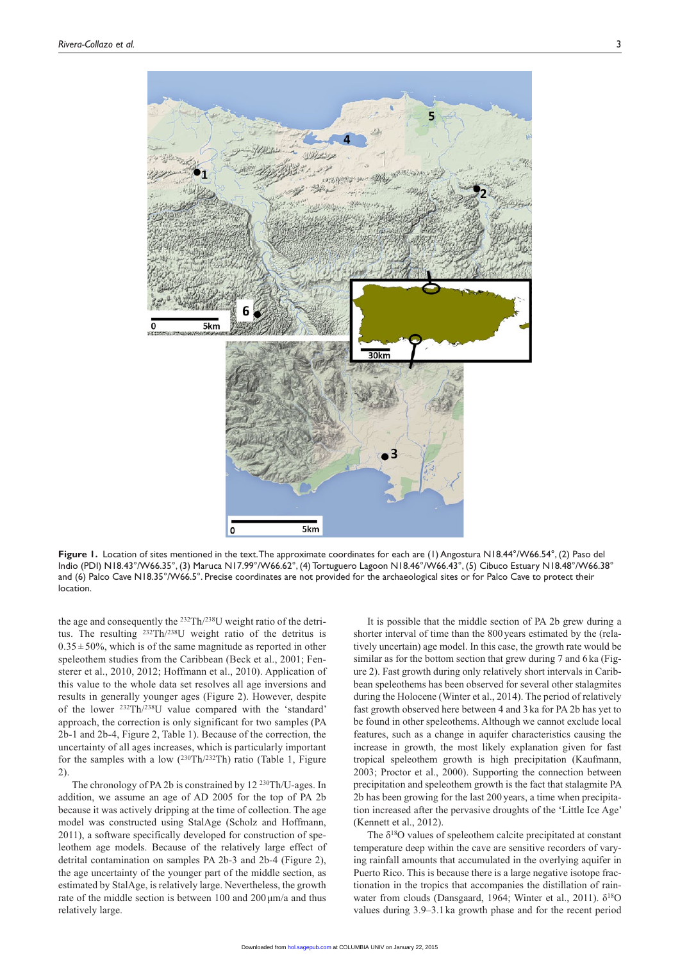

Figure 1. Location of sites mentioned in the text. The approximate coordinates for each are (1) Angostura N18.44°/W66.54°, (2) Paso del Indio (PDI) N18.43°/W66.35°, (3) Maruca N17.99°/W66.62°, (4) Tortuguero Lagoon N18.46°/W66.43°, (5) Cibuco Estuary N18.48°/W66.38° and (6) Palco Cave N18.35°/W66.5°. Precise coordinates are not provided for the archaeological sites or for Palco Cave to protect their location.

the age and consequently the 232Th/238U weight ratio of the detritus. The resulting 232Th/238U weight ratio of the detritus is  $0.35 \pm 50\%$ , which is of the same magnitude as reported in other speleothem studies from the Caribbean (Beck et al., 2001; Fensterer et al., 2010, 2012; Hoffmann et al., 2010). Application of this value to the whole data set resolves all age inversions and results in generally younger ages (Figure 2). However, despite of the lower 232Th/238U value compared with the 'standard' approach, the correction is only significant for two samples (PA 2b-1 and 2b-4, Figure 2, Table 1). Because of the correction, the uncertainty of all ages increases, which is particularly important for the samples with a low  $(^{230}Th/^{232}Th)$  ratio (Table 1, Figure 2).

The chronology of PA 2b is constrained by 12 230Th/U-ages. In addition, we assume an age of AD 2005 for the top of PA 2b because it was actively dripping at the time of collection. The age model was constructed using StalAge (Scholz and Hoffmann, 2011), a software specifically developed for construction of speleothem age models. Because of the relatively large effect of detrital contamination on samples PA 2b-3 and 2b-4 (Figure 2), the age uncertainty of the younger part of the middle section, as estimated by StalAge, is relatively large. Nevertheless, the growth rate of the middle section is between 100 and 200  $\mu$ m/a and thus relatively large.

It is possible that the middle section of PA 2b grew during a shorter interval of time than the 800years estimated by the (relatively uncertain) age model. In this case, the growth rate would be similar as for the bottom section that grew during 7 and 6ka (Figure 2). Fast growth during only relatively short intervals in Caribbean speleothems has been observed for several other stalagmites during the Holocene (Winter et al., 2014). The period of relatively fast growth observed here between 4 and 3ka for PA 2b has yet to be found in other speleothems. Although we cannot exclude local features, such as a change in aquifer characteristics causing the increase in growth, the most likely explanation given for fast tropical speleothem growth is high precipitation (Kaufmann, 2003; Proctor et al., 2000). Supporting the connection between precipitation and speleothem growth is the fact that stalagmite PA 2b has been growing for the last 200 years, a time when precipitation increased after the pervasive droughts of the 'Little Ice Age' (Kennett et al., 2012).

The  $\delta^{18}$ O values of speleothem calcite precipitated at constant temperature deep within the cave are sensitive recorders of varying rainfall amounts that accumulated in the overlying aquifer in Puerto Rico. This is because there is a large negative isotope fractionation in the tropics that accompanies the distillation of rainwater from clouds (Dansgaard, 1964; Winter et al., 2011). δ<sup>18</sup>O values during 3.9–3.1 ka growth phase and for the recent period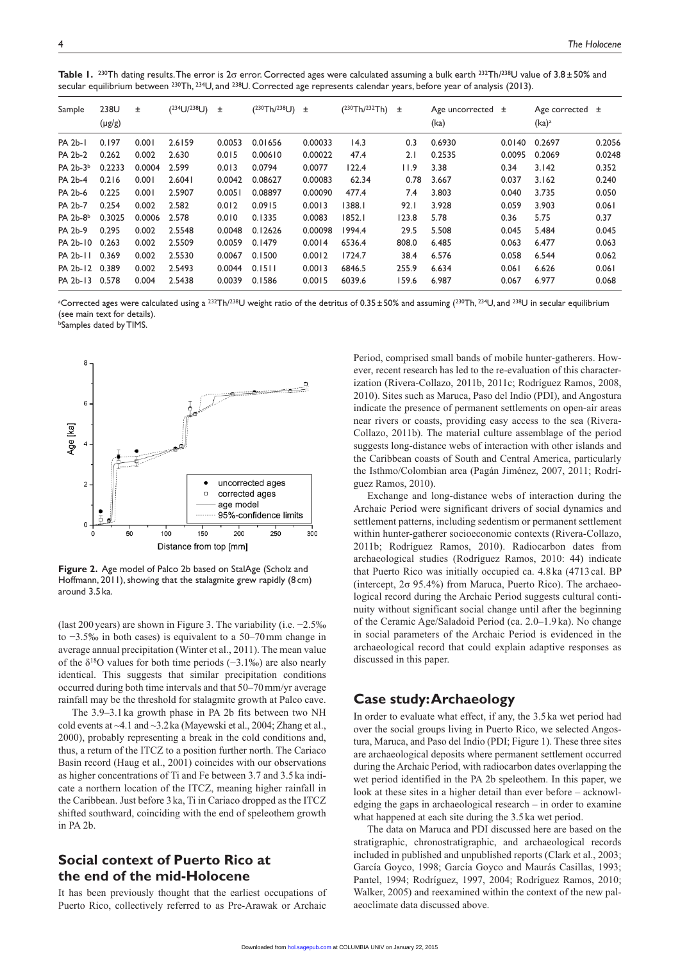| Table 1. <sup>230</sup> Th dating results. The error is $2\sigma$ error. Corrected ages were calculated assuming a bulk earth <sup>232</sup> Th/ <sup>238</sup> U value of $3.8 \pm 50\%$ and |  |  |
|-----------------------------------------------------------------------------------------------------------------------------------------------------------------------------------------------|--|--|
| secular equilibrium between <sup>230</sup> Th, <sup>234</sup> U, and <sup>238</sup> U. Corrected age represents calendar years, before year of analysis (2013).                               |  |  |

| Sample               | 238U<br>$(\mu g/g)$ | Ŧ      | (234U/238U) | 土      | $(^{230}Th/^{238}U) \pm$ |         | $(^{230}Th/^{232}Th)$ | 土     | Age uncorrected $\pm$<br>(ka) |        | Age corrected $\pm$<br>$(ka)^a$ |        |
|----------------------|---------------------|--------|-------------|--------|--------------------------|---------|-----------------------|-------|-------------------------------|--------|---------------------------------|--------|
| PA 2b-1              | 0.197               | 0.001  | 2.6159      | 0.0053 | 0.01656                  | 0.00033 | 14.3                  | 0.3   | 0.6930                        | 0.0140 | 0.2697                          | 0.2056 |
| PA 2b-2              | 0.262               | 0.002  | 2.630       | 0.015  | 0.00610                  | 0.00022 | 47.4                  | 2.1   | 0.2535                        | 0.0095 | 0.2069                          | 0.0248 |
| PA $2b-3b$           | 0.2233              | 0.0004 | 2.599       | 0.013  | 0.0794                   | 0.0077  | 122.4                 | 11.9  | 3.38                          | 0.34   | 3.142                           | 0.352  |
| PA 2b-4              | 0.216               | 0.001  | 2.6041      | 0.0042 | 0.08627                  | 0.00083 | 62.34                 | 0.78  | 3.667                         | 0.037  | 3.162                           | 0.240  |
| PA 2b-6              | 0.225               | 0.001  | 2.5907      | 0.0051 | 0.08897                  | 0.00090 | 477.4                 | 7.4   | 3.803                         | 0.040  | 3.735                           | 0.050  |
| PA 2b-7              | 0.254               | 0.002  | 2.582       | 0.012  | 0.0915                   | 0.0013  | 1388.1                | 92.1  | 3.928                         | 0.059  | 3.903                           | 0.061  |
| PA 2b-8 <sup>b</sup> | 0.3025              | 0.0006 | 2.578       | 0.010  | 0.1335                   | 0.0083  | 1852.1                | 123.8 | 5.78                          | 0.36   | 5.75                            | 0.37   |
| PA 2b-9              | 0.295               | 0.002  | 2.5548      | 0.0048 | 0.12626                  | 0.00098 | 1994.4                | 29.5  | 5.508                         | 0.045  | 5.484                           | 0.045  |
| PA 2b-10             | 0.263               | 0.002  | 2.5509      | 0.0059 | 0.1479                   | 0.0014  | 6536.4                | 808.0 | 6.485                         | 0.063  | 6.477                           | 0.063  |
| PA 2b-11             | 0.369               | 0.002  | 2.5530      | 0.0067 | 0.1500                   | 0.0012  | 1724.7                | 38.4  | 6.576                         | 0.058  | 6.544                           | 0.062  |
| PA 2b-12 0.389       |                     | 0.002  | 2.5493      | 0.0044 | 0.1511                   | 0.0013  | 6846.5                | 255.9 | 6.634                         | 0.061  | 6.626                           | 0.061  |
| PA 2b-13             | 0.578               | 0.004  | 2.5438      | 0.0039 | 0.1586                   | 0.0015  | 6039.6                | 159.6 | 6.987                         | 0.067  | 6.977                           | 0.068  |

aCorrected ages were calculated using a <sup>232</sup>Th/<sup>238</sup>U weight ratio of the detritus of 0.35±50% and assuming (<sup>230</sup>Th, <sup>234</sup>U, and <sup>238</sup>U in secular equilibrium (see main text for details).

bSamples dated by TIMS.



**Figure 2.** Age model of Palco 2b based on StalAge (Scholz and Hoffmann, 2011), showing that the stalagmite grew rapidly (8 cm) around 3.5 ka.

(last 200 years) are shown in Figure 3. The variability (i.e. −2.5‰ to −3.5‰ in both cases) is equivalent to a 50–70mm change in average annual precipitation (Winter et al., 2011). The mean value of the  $\delta^{18}$ O values for both time periods (−3.1‰) are also nearly identical. This suggests that similar precipitation conditions occurred during both time intervals and that 50–70mm/yr average rainfall may be the threshold for stalagmite growth at Palco cave.

The 3.9–3.1 ka growth phase in PA 2b fits between two NH cold events at ~4.1 and ~3.2ka (Mayewski et al., 2004; Zhang et al., 2000), probably representing a break in the cold conditions and, thus, a return of the ITCZ to a position further north. The Cariaco Basin record (Haug et al., 2001) coincides with our observations as higher concentrations of Ti and Fe between 3.7 and 3.5 ka indicate a northern location of the ITCZ, meaning higher rainfall in the Caribbean. Just before 3 ka, Ti in Cariaco dropped as the ITCZ shifted southward, coinciding with the end of speleothem growth in PA 2b.

## **Social context of Puerto Rico at the end of the mid-Holocene**

It has been previously thought that the earliest occupations of Puerto Rico, collectively referred to as Pre-Arawak or Archaic

Period, comprised small bands of mobile hunter-gatherers. However, recent research has led to the re-evaluation of this characterization (Rivera-Collazo, 2011b, 2011c; Rodríguez Ramos, 2008, 2010). Sites such as Maruca, Paso del Indio (PDI), and Angostura indicate the presence of permanent settlements on open-air areas near rivers or coasts, providing easy access to the sea (Rivera-Collazo, 2011b). The material culture assemblage of the period suggests long-distance webs of interaction with other islands and the Caribbean coasts of South and Central America, particularly the Isthmo/Colombian area (Pagán Jiménez, 2007, 2011; Rodríguez Ramos, 2010).

Exchange and long-distance webs of interaction during the Archaic Period were significant drivers of social dynamics and settlement patterns, including sedentism or permanent settlement within hunter-gatherer socioeconomic contexts (Rivera-Collazo, 2011b; Rodríguez Ramos, 2010). Radiocarbon dates from archaeological studies (Rodríguez Ramos, 2010: 44) indicate that Puerto Rico was initially occupied ca. 4.8 ka (4713 cal. BP (intercept, 2σ 95.4%) from Maruca, Puerto Rico). The archaeological record during the Archaic Period suggests cultural continuity without significant social change until after the beginning of the Ceramic Age/Saladoid Period (ca. 2.0–1.9 ka). No change in social parameters of the Archaic Period is evidenced in the archaeological record that could explain adaptive responses as discussed in this paper.

### **Case study: Archaeology**

In order to evaluate what effect, if any, the 3.5 ka wet period had over the social groups living in Puerto Rico, we selected Angostura, Maruca, and Paso del Indio (PDI; Figure 1). These three sites are archaeological deposits where permanent settlement occurred during the Archaic Period, with radiocarbon dates overlapping the wet period identified in the PA 2b speleothem. In this paper, we look at these sites in a higher detail than ever before – acknowledging the gaps in archaeological research – in order to examine what happened at each site during the 3.5ka wet period.

The data on Maruca and PDI discussed here are based on the stratigraphic, chronostratigraphic, and archaeological records included in published and unpublished reports (Clark et al., 2003; García Goyco, 1998; García Goyco and Maurás Casillas, 1993; Pantel, 1994; Rodríguez, 1997, 2004; Rodríguez Ramos, 2010; Walker, 2005) and reexamined within the context of the new palaeoclimate data discussed above.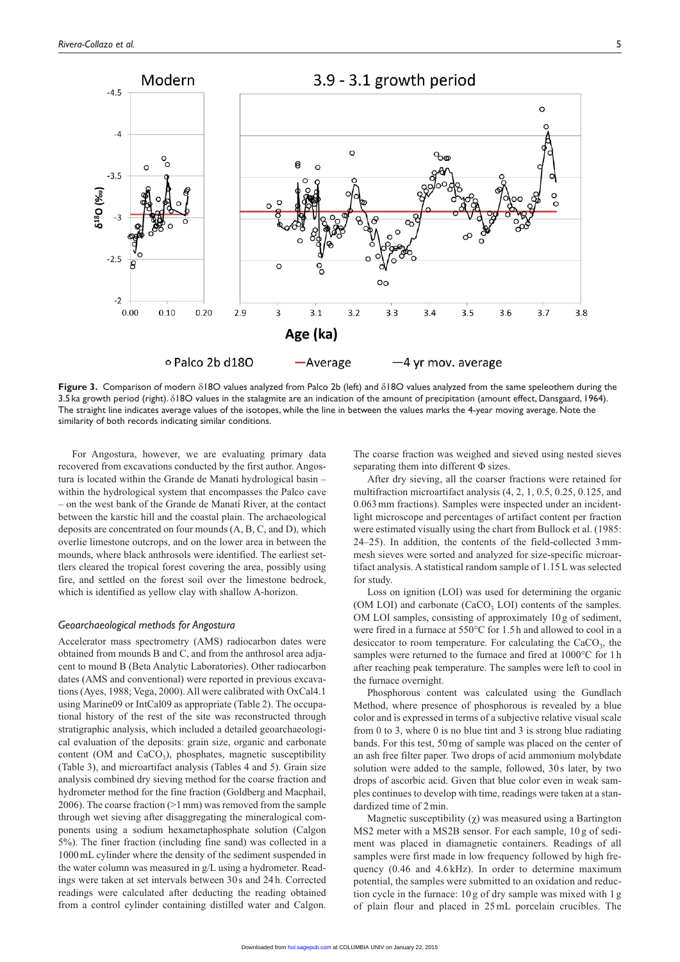

**Figure 3.** Comparison of modern δ18O values analyzed from Palco 2b (left) and δ18O values analyzed from the same speleothem during the 3.5 ka growth period (right). δ18O values in the stalagmite are an indication of the amount of precipitation (amount effect, Dansgaard, 1964). The straight line indicates average values of the isotopes, while the line in between the values marks the 4-year moving average. Note the similarity of both records indicating similar conditions.

For Angostura, however, we are evaluating primary data recovered from excavations conducted by the first author. Angostura is located within the Grande de Manatí hydrological basin – within the hydrological system that encompasses the Palco cave – on the west bank of the Grande de Manatí River, at the contact between the karstic hill and the coastal plain. The archaeological deposits are concentrated on four mounds (A, B, C, and D), which overlie limestone outcrops, and on the lower area in between the mounds, where black anthrosols were identified. The earliest settlers cleared the tropical forest covering the area, possibly using fire, and settled on the forest soil over the limestone bedrock, which is identified as yellow clay with shallow A-horizon.

#### *Geoarchaeological methods for Angostura*

Accelerator mass spectrometry (AMS) radiocarbon dates were obtained from mounds B and C, and from the anthrosol area adjacent to mound B (Beta Analytic Laboratories). Other radiocarbon dates (AMS and conventional) were reported in previous excavations (Ayes, 1988; Vega, 2000). All were calibrated with OxCal4.1 using Marine09 or IntCal09 as appropriate (Table 2). The occupational history of the rest of the site was reconstructed through stratigraphic analysis, which included a detailed geoarchaeological evaluation of the deposits: grain size, organic and carbonate content (OM and  $CaCO<sub>3</sub>$ ), phosphates, magnetic susceptibility (Table 3), and microartifact analysis (Tables 4 and 5). Grain size analysis combined dry sieving method for the coarse fraction and hydrometer method for the fine fraction (Goldberg and Macphail, 2006). The coarse fraction  $(>1$  mm) was removed from the sample through wet sieving after disaggregating the mineralogical components using a sodium hexametaphosphate solution (Calgon 5%). The finer fraction (including fine sand) was collected in a 1000mL cylinder where the density of the sediment suspended in the water column was measured in g/L using a hydrometer. Readings were taken at set intervals between 30s and 24h. Corrected readings were calculated after deducting the reading obtained from a control cylinder containing distilled water and Calgon.

The coarse fraction was weighed and sieved using nested sieves separating them into different Φ sizes.

After dry sieving, all the coarser fractions were retained for multifraction microartifact analysis (4, 2, 1, 0.5, 0.25, 0.125, and 0.063mm fractions). Samples were inspected under an incidentlight microscope and percentages of artifact content per fraction were estimated visually using the chart from Bullock et al. (1985: 24–25). In addition, the contents of the field-collected 3mmmesh sieves were sorted and analyzed for size-specific microartifact analysis. A statistical random sample of 1.15L was selected for study.

Loss on ignition (LOI) was used for determining the organic (OM LOI) and carbonate  $(CaCO<sub>3</sub>$  LOI) contents of the samples. OM LOI samples, consisting of approximately 10g of sediment, were fired in a furnace at 550°C for 1.5h and allowed to cool in a desiccator to room temperature. For calculating the  $CaCO<sub>3</sub>$ , the samples were returned to the furnace and fired at 1000°C for 1 h after reaching peak temperature. The samples were left to cool in the furnace overnight.

Phosphorous content was calculated using the Gundlach Method, where presence of phosphorous is revealed by a blue color and is expressed in terms of a subjective relative visual scale from 0 to 3, where 0 is no blue tint and 3 is strong blue radiating bands. For this test, 50mg of sample was placed on the center of an ash free filter paper. Two drops of acid ammonium molybdate solution were added to the sample, followed, 30 s later, by two drops of ascorbic acid. Given that blue color even in weak samples continues to develop with time, readings were taken at a standardized time of 2min.

Magnetic susceptibility  $(χ)$  was measured using a Bartington MS2 meter with a MS2B sensor. For each sample, 10 g of sediment was placed in diamagnetic containers. Readings of all samples were first made in low frequency followed by high frequency (0.46 and 4.6 kHz). In order to determine maximum potential, the samples were submitted to an oxidation and reduction cycle in the furnace: 10 g of dry sample was mixed with 1 g of plain flour and placed in 25mL porcelain crucibles. The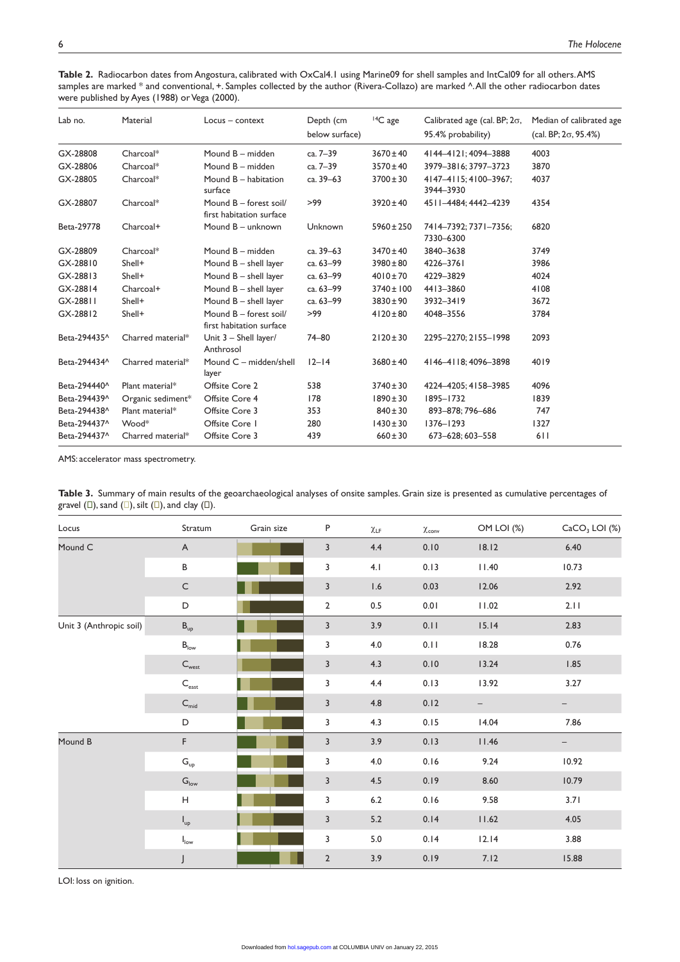**Table 2.** Radiocarbon dates from Angostura, calibrated with OxCal4.1 using Marine09 for shell samples and IntCal09 for all others. AMS samples are marked \* and conventional, +. Samples collected by the author (Rivera-Collazo) are marked ^. All the other radiocarbon dates were published by Ayes (1988) or Vega (2000).

| Lab no.      | Material          | Locus - context                                      | Depth (cm<br>below surface) | <sup>14</sup> C age | Calibrated age (cal. BP; $2\sigma$ ,<br>95.4% probability) | Median of calibrated age<br>(cal. BP; $2\sigma$ , 95.4%) |
|--------------|-------------------|------------------------------------------------------|-----------------------------|---------------------|------------------------------------------------------------|----------------------------------------------------------|
| GX-28808     | Charcoal*         | Mound B - midden                                     | ca. 7-39                    | $3670 \pm 40$       | 4144-4121; 4094-3888                                       | 4003                                                     |
| GX-28806     | Charcoal*         | Mound B - midden                                     | ca. 7-39                    | $3570 \pm 40$       | 3979-3816: 3797-3723                                       | 3870                                                     |
| GX-28805     | Charcoal*         | Mound B - habitation<br>surface                      | ca. 39-63                   | $3700 \pm 30$       | 4147-4115; 4100-3967;<br>3944-3930                         | 4037                                                     |
| GX-28807     | Charcoal*         | Mound $B -$ forest soil/<br>first habitation surface | >99                         | $3920 \pm 40$       | 45   1-4484; 4442-4239                                     | 4354                                                     |
| Beta-29778   | Charcoal+         | Mound B - unknown                                    | Unknown                     | $5960 \pm 250$      | 7414-7392; 7371-7356;<br>7330-6300                         | 6820                                                     |
| GX-28809     | Charcoal*         | Mound B - midden                                     | ca. 39-63                   | $3470 \pm 40$       | 3840-3638                                                  | 3749                                                     |
| GX-28810     | Shell+            | Mound $B -$ shell layer                              | ca. 63-99                   | $3980 \pm 80$       | 4226-3761                                                  | 3986                                                     |
| $GX-28813$   | Shell+            | Mound $B -$ shell layer                              | ca. 63-99                   | $4010 \pm 70$       | 4229-3829                                                  | 4024                                                     |
| GX-28814     | Charcoal+         | Mound $B -$ shell layer                              | ca. 63-99                   | $3740 \pm 100$      | 4413-3860                                                  | 4108                                                     |
| GX-28811     | Shell+            | Mound $B -$ shell layer                              | ca. 63-99                   | $3830 \pm 90$       | 3932-3419                                                  | 3672                                                     |
| GX-28812     | Shell+            | Mound $B -$ forest soil/<br>first habitation surface | >99                         | $4120 \pm 80$       | 4048-3556                                                  | 3784                                                     |
| Beta-294435^ | Charred material* | Unit 3 - Shell layer/<br>Anthrosol                   | 74-80                       | $2120 \pm 30$       | 2295-2270; 2155-1998                                       | 2093                                                     |
| Beta-294434^ | Charred material* | Mound $C$ – midden/shell<br>layer                    | $12 - 14$                   | $3680 \pm 40$       | 4146-4118: 4096-3898                                       | 4019                                                     |
| Beta-294440^ | Plant material*   | Offsite Core 2                                       | 538                         | $3740 \pm 30$       | 4224-4205: 4158-3985                                       | 4096                                                     |
| Beta-294439^ | Organic sediment* | Offsite Core 4                                       | 178                         | $1890 \pm 30$       | 1895-1732                                                  | 1839                                                     |
| Beta-294438^ | Plant material*   | Offsite Core 3                                       | 353                         | $840 \pm 30$        | 893-878; 796-686                                           | 747                                                      |
| Beta-294437^ | Wood*             | Offsite Core I                                       | 280                         | $1430 \pm 30$       | $1376 - 1293$                                              | 1327                                                     |
| Beta-294437^ | Charred material* | Offsite Core 3                                       | 439                         | $660 \pm 30$        | 673-628; 603-558                                           | 611                                                      |

AMS: accelerator mass spectrometry.

| Table 3. Summary of main results of the geoarchaeological analyses of onsite samples. Grain size is presented as cumulative percentages of |  |  |  |  |
|--------------------------------------------------------------------------------------------------------------------------------------------|--|--|--|--|
| gravel ( $\square$ ), sand ( $\square$ ), silt ( $\square$ ), and clay ( $\square$ ).                                                      |  |  |  |  |

| Locus                   | Stratum                               | Grain size | P              | $\chi_{\text{LF}}$ | $\chi_{\mathsf{conv}}$ | OM LOI (%) | $CaCO3$ LOI $(\%)$ |
|-------------------------|---------------------------------------|------------|----------------|--------------------|------------------------|------------|--------------------|
| Mound C                 | $\mathsf{A}$                          |            | $\overline{3}$ | 4.4                | 0.10                   | 18.12      | 6.40               |
|                         | $\sf B$                               |            | 3              | 4.1                | 0.13                   | 11.40      | 10.73              |
|                         | $\mathsf C$                           |            | 3              | $\,$ l .6 $\,$     | 0.03                   | 12.06      | 2.92               |
|                         | D                                     |            | $\mathbf{2}$   | $0.5\,$            | 0.01                   | 11.02      | 2.11               |
| Unit 3 (Anthropic soil) | $\mathsf{B}_{\mathsf{up}}$            |            | $\mathbf{3}$   | $3.9$              | 0.11                   | 15.14      | 2.83               |
|                         | $\mathsf{B}_{\mathsf{low}}$           |            | 3              | $4.0\,$            | 0.11                   | 18.28      | 0.76               |
|                         | $\mathsf{C}_{\mathsf{west}}$          |            | 3              | 4.3                | 0.10                   | 13.24      | 1.85               |
|                         | $\mathsf{C}_{\mathsf{east}}$          |            | 3              | 4.4                | 0.13                   | 13.92      | 3.27               |
|                         | $\mathsf{C}_{\mathsf{mid}}$           |            | $\overline{3}$ | $4.8\,$            | 0.12                   | -          | -                  |
|                         | D                                     |            | 3              | 4.3                | 0.15                   | 14.04      | 7.86               |
| Mound B                 | F                                     |            | 3              | 3.9                | 0.13                   | 11.46      | -                  |
|                         | $\mathsf{G}_{\mathsf{up}}$            |            | 3              | $4.0\,$            | 0.16                   | 9.24       | 10.92              |
|                         | $\mathsf{G}_{\mathsf{low}}$           |            | 3              | 4.5                | 0.19                   | 8.60       | 10.79              |
|                         | H                                     |            | 3              | $6.2\,$            | 0.16                   | 9.58       | 3.71               |
|                         | $\boldsymbol{\mathsf{I}}_{\text{up}}$ |            | $\mathbf{3}$   | $5.2$              | 0.14                   | 11.62      | 4.05               |
|                         | $\mathsf{I}_{\mathsf{low}}$           |            | 3              | $5.0\,$            | 0.14                   | 12.14      | 3.88               |
|                         | J                                     |            | $\sqrt{2}$     | $3.9$              | 0.19                   | 7.12       | 15.88              |

LOI: loss on ignition.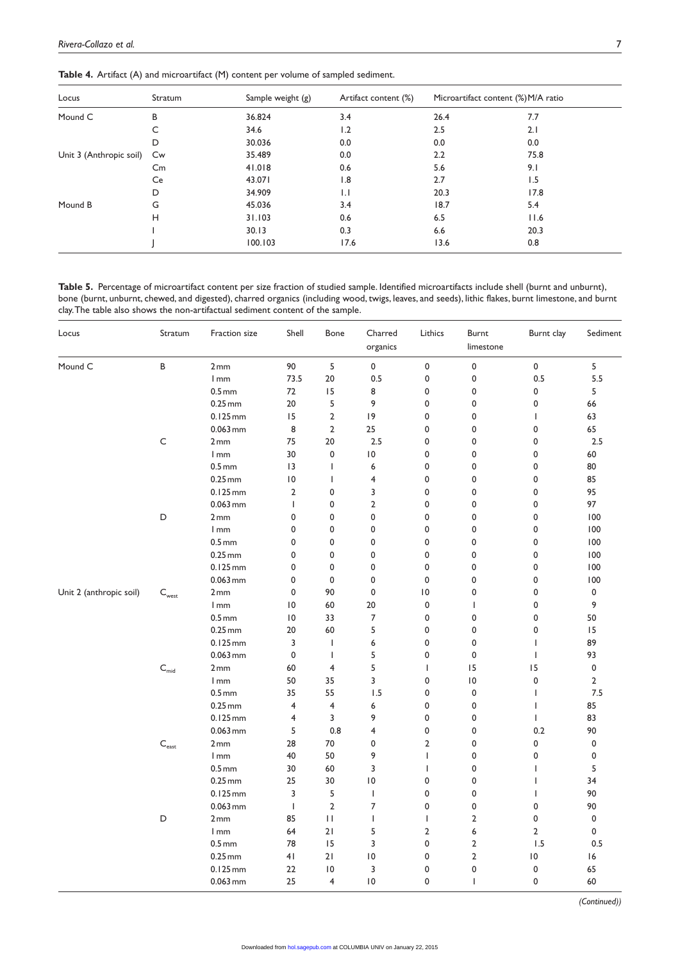| Locus                   | Stratum | Sample weight (g) | Artifact content (%) | Microartifact content (%) M/A ratio |      |  |
|-------------------------|---------|-------------------|----------------------|-------------------------------------|------|--|
| Mound C                 | B       | 36.824            | 3.4                  | 26.4                                | 7.7  |  |
|                         | C       | 34.6              | 1.2                  | 2.5                                 | 2.1  |  |
|                         | D       | 30.036            | 0.0                  | 0.0                                 | 0.0  |  |
| Unit 3 (Anthropic soil) | Cw      | 35.489            | 0.0                  | 2.2                                 | 75.8 |  |
|                         | Cm      | 41.018            | 0.6                  | 5.6                                 | 9.1  |  |
|                         | Ce      | 43.071            | 1.8                  | 2.7                                 | 1.5  |  |
|                         | D       | 34.909            | $\mathsf{L}$         | 20.3                                | 17.8 |  |
| Mound B                 | G       | 45.036            | 3.4                  | 18.7                                | 5.4  |  |
|                         | Н       | 31.103            | 0.6                  | 6.5                                 | 11.6 |  |
|                         |         | 30.13             | 0.3                  | 6.6                                 | 20.3 |  |
|                         |         | 100.103           | 17.6                 | 13.6                                | 0.8  |  |

**Table 5.** Percentage of microartifact content per size fraction of studied sample. Identified microartifacts include shell (burnt and unburnt), bone (burnt, unburnt, chewed, and digested), charred organics (including wood, twigs, leaves, and seeds), lithic flakes, burnt limestone, and burnt clay. The table also shows the non-artifactual sediment content of the sample.

| Locus                   | Stratum                      | Fraction size        | Shell           | Bone                    | Charred<br>organics      | Lithics                  | Burnt<br>limestone | Burnt clay          | Sediment       |
|-------------------------|------------------------------|----------------------|-----------------|-------------------------|--------------------------|--------------------------|--------------------|---------------------|----------------|
| Mound C                 | B                            | 2mm                  | 90              | $\sqrt{5}$              | 0                        | $\pmb{0}$                | 0                  | $\mathsf{O}\xspace$ | 5              |
|                         |                              | I mm                 | 73.5            | 20                      | 0.5                      | $\pmb{0}$                | 0                  | 0.5                 | 5.5            |
|                         |                              | 0.5 <sub>mm</sub>    | 72              | 15                      | 8                        | 0                        | 0                  | 0                   | 5              |
|                         |                              | $0.25$ mm            | 20              | 5                       | 9                        | $\pmb{0}$                | 0                  | 0                   | 66             |
|                         |                              | $0.125$ mm           | 15              | $\overline{2}$          | 9                        | 0                        | 0                  | L                   | 63             |
|                         |                              | $0.063$ mm           | 8               | $\mathbf 2$             | 25                       | 0                        | 0                  | 0                   | 65             |
|                         | $\mathsf C$                  | 2mm                  | 75              | 20                      | 2.5                      | $\pmb{0}$                | 0                  | $\pmb{0}$           | 2.5            |
|                         |                              | I mm                 | 30              | $\mathbf 0$             | $\overline{0}$           | $\mathbf 0$              | 0                  | $\pmb{0}$           | 60             |
|                         |                              | 0.5 <sub>mm</sub>    | 13              | $\mathsf{I}$            | 6                        | $\pmb{0}$                | 0                  | 0                   | 80             |
|                         |                              | $0.25$ mm            | $\overline{10}$ | I                       | $\overline{4}$           | 0                        | 0                  | $\pmb{0}$           | 85             |
|                         |                              | $0.125$ mm           | $\overline{2}$  | 0                       | 3                        | $\pmb{0}$                | 0                  | 0                   | 95             |
|                         |                              | $0.063$ mm           | $\mathbf{I}$    | $\mathbf 0$             | $\overline{2}$           | $\pmb{0}$                | 0                  | $\pmb{0}$           | 97             |
|                         | D                            | 2mm                  | 0               | 0                       | 0                        | $\pmb{0}$                | 0                  | $\pmb{0}$           | 100            |
|                         |                              | I mm                 | 0               | $\mathbf 0$             | 0                        | $\mathbf 0$              | 0                  | $\pmb{0}$           | 100            |
|                         |                              | 0.5 <sub>mm</sub>    | 0               | 0                       | 0                        | $\pmb{0}$                | 0                  | $\pmb{0}$           | 100            |
|                         |                              | $0.25 \,\mathrm{mm}$ | 0               | $\mathbf 0$             | $\mathbf 0$              | $\pmb{0}$                | 0                  | $\pmb{0}$           | 100            |
|                         |                              | $0.125$ mm           | 0               | $\pmb{0}$               | 0                        | 0                        | 0                  | $\pmb{0}$           | 100            |
|                         |                              | $0.063$ mm           | 0               | 0                       | 0                        | $\pmb{0}$                | 0                  | $\pmb{0}$           | 100            |
| Unit 2 (anthropic soil) | $\mathsf{C}_{\mathsf{west}}$ | 2mm                  | $\mathbf 0$     | 90                      | 0                        | 0                        | 0                  | 0                   | 0              |
|                         |                              | I mm                 | 10              | 60                      | 20                       | $\mathbf 0$              | I                  | $\pmb{0}$           | 9              |
|                         |                              | $0.5 \, \text{mm}$   | 10              | 33                      | $\overline{7}$           | $\mathbf 0$              | 0                  | $\pmb{0}$           | 50             |
|                         |                              | $0.25$ mm            | 20              | 60                      | 5                        | 0                        | 0                  | 0                   | 15             |
|                         |                              | $0.125$ mm           | 3               | I                       | 6                        | 0                        | 0                  | L                   | 89             |
|                         |                              | $0.063$ mm           | 0               | I                       | 5                        | $\pmb{0}$                | 0                  | $\mathbf{I}$        | 93             |
|                         | $C_{\text{mid}}$             | 2mm                  | 60              | $\overline{4}$          | 5                        | $\overline{\phantom{a}}$ | 15                 | 15                  | 0              |
|                         |                              | I mm                 | 50              | 35                      | 3                        | 0                        | $\,$ l $\,$ 0 $\,$ | $\pmb{0}$           | $\overline{2}$ |
|                         |                              | 0.5 <sub>mm</sub>    | 35              | 55                      | 1.5                      | 0                        | 0                  | I                   | 7.5            |
|                         |                              | $0.25$ mm            | $\overline{4}$  | $\overline{\mathbf{4}}$ | 6                        | 0                        | 0                  | I                   | 85             |
|                         |                              | $0.125$ mm           | $\overline{4}$  | 3                       | 9                        | 0                        | 0                  | L                   | 83             |
|                         |                              | $0.063$ mm           | 5               | 0.8                     | $\overline{\mathbf{4}}$  | $\pmb{0}$                | 0                  | 0.2                 | 90             |
|                         | $C_{\text{east}}$            | 2mm                  | 28              | 70                      | 0                        | $\overline{2}$           | 0                  | 0                   | 0              |
|                         |                              | I mm                 | 40              | 50                      | 9                        | $\mathbf{I}$             | 0                  | 0                   | 0              |
|                         |                              | 0.5 <sub>mm</sub>    | 30              | 60                      | 3                        | $\mathbf{I}$             | 0                  | L                   | 5              |
|                         |                              | $0.25$ mm            | 25              | 30                      | $\overline{10}$          | 0                        | 0                  | L                   | 34             |
|                         |                              | $0.125$ mm           | 3               | 5                       | $\overline{\phantom{a}}$ | $\pmb{0}$                | 0                  | I                   | 90             |
|                         |                              | $0.063$ mm           | $\mathbf{I}$    | $\mathbf 2$             | $\overline{7}$           | $\pmb{0}$                | 0                  | $\pmb{0}$           | 90             |
|                         | D                            | 2mm                  | 85              | $\mathbf{H}$            | $\overline{\phantom{a}}$ | $\mathbf{I}$             | $\overline{2}$     | $\pmb{0}$           | 0              |
|                         |                              | 1mm                  | 64              | 21                      | 5                        | $\mathbf 2$              | 6                  | $\overline{2}$      | 0              |
|                         |                              | 0.5 <sub>mm</sub>    | 78              | 15                      | 3                        | 0                        | $\overline{2}$     | 1.5                 | 0.5            |
|                         |                              | $0.25$ mm            | 41              | 21                      | $\overline{10}$          | 0                        | $\overline{2}$     | $\,10$              | 16             |
|                         |                              | $0.125$ mm           | 22              | $\overline{10}$         | 3                        | $\pmb{0}$                | 0                  | 0                   | 65             |
|                         |                              | $0.063$ mm           | 25              | $\overline{\mathbf{4}}$ | $\overline{10}$          | 0                        | T                  | 0                   | 60             |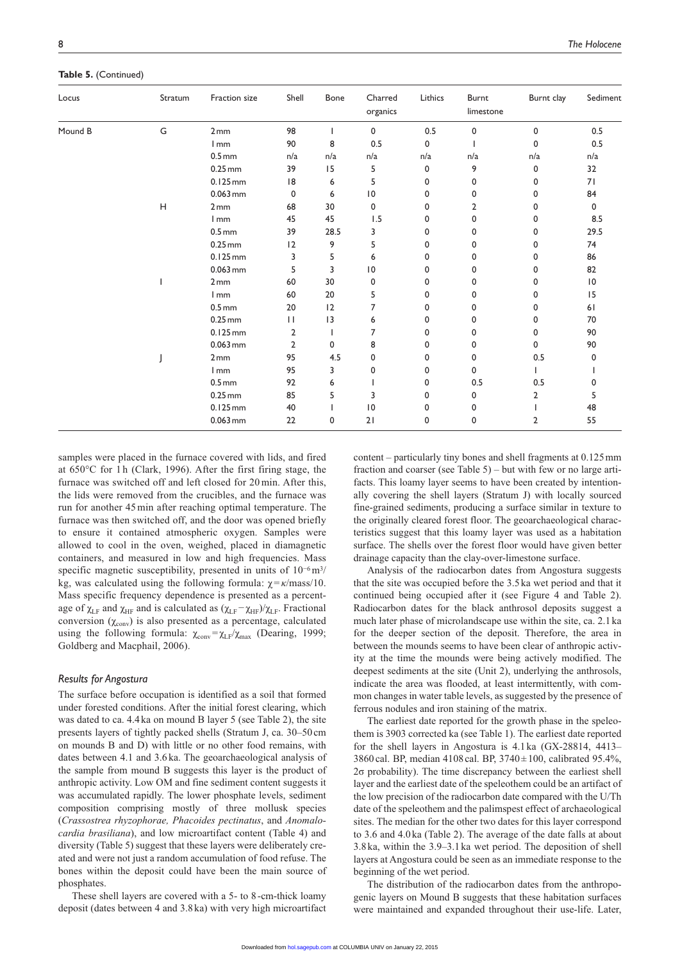**Table 5.** (Continued)

| Locus   | Stratum | Fraction size        | Shell          | Bone        | Charred<br>organics | Lithics  | Burnt<br>limestone | Burnt clay     | Sediment        |
|---------|---------|----------------------|----------------|-------------|---------------------|----------|--------------------|----------------|-----------------|
| Mound B | G       | 2mm                  | 98             |             | $\mathbf 0$         | 0.5      | 0                  | 0              | 0.5             |
|         |         | I mm                 | 90             | 8           | 0.5                 | 0        |                    | 0              | $0.5\,$         |
|         |         | $0.5 \, \text{mm}$   | n/a            | n/a         | n/a                 | n/a      | n/a                | n/a            | n/a             |
|         |         | $0.25 \,\mathrm{mm}$ | 39             | 15          | 5                   | 0        | 9                  | 0              | 32              |
|         |         | $0.125$ mm           | 18             | 6           | 5                   | 0        | 0                  | 0              | 71              |
|         |         | $0.063$ mm           | 0              | 6           | 10                  | 0        | 0                  | 0              | 84              |
|         | Н       | 2mm                  | 68             | 30          | 0                   | 0        | $\overline{2}$     | 0              | 0               |
|         |         | I mm                 | 45             | 45          | 1.5                 | 0        | 0                  | 0              | 8.5             |
|         |         | $0.5$ mm             | 39             | 28.5        | 3                   | 0        | 0                  | 0              | 29.5            |
|         |         | $0.25$ mm            | 12             | 9           | 5                   | 0        | 0                  | 0              | 74              |
|         |         | $0.125$ mm           | 3              | 5           | 6                   | 0        | 0                  | 0              | 86              |
|         |         | $0.063$ mm           | 5              | 3           | $\overline{0}$      | 0        | 0                  | 0              | 82              |
|         |         | 2mm                  | 60             | 30          | 0                   | 0        | 0                  | 0              | $\overline{10}$ |
|         |         | I mm                 | 60             | 20          | 5                   | 0        | 0                  | 0              | 15              |
|         |         | $0.5 \, \text{mm}$   | 20             | 12          | 7                   | 0        | 0                  | 0              | 61              |
|         |         | $0.25$ mm            | П              | 3           | 6                   | $\Omega$ | 0                  | 0              | 70              |
|         |         | $0.125$ mm           | 2              |             | 7                   | 0        | 0                  | 0              | 90              |
|         |         | $0.063$ mm           | $\overline{2}$ | $\mathbf 0$ | 8                   | 0        | 0                  | 0              | 90              |
|         |         | 2mm                  | 95             | 4.5         | 0                   | 0        | 0                  | 0.5            | 0               |
|         |         | I mm                 | 95             | 3           | $\Omega$            | 0        | $\Omega$           |                |                 |
|         |         | $0.5 \, \text{mm}$   | 92             | 6           |                     | 0        | 0.5                | 0.5            | 0               |
|         |         | $0.25$ mm            | 85             | 5           | 3                   | 0        | 0                  | $\overline{2}$ | 5               |
|         |         | $0.125$ mm           | 40             |             | $\overline{10}$     | 0        | 0                  |                | 48              |
|         |         | $0.063$ mm           | 22             | 0           | 21                  | 0        | 0                  | 2              | 55              |

samples were placed in the furnace covered with lids, and fired at 650°C for 1 h (Clark, 1996). After the first firing stage, the furnace was switched off and left closed for 20min. After this, the lids were removed from the crucibles, and the furnace was run for another 45min after reaching optimal temperature. The furnace was then switched off, and the door was opened briefly to ensure it contained atmospheric oxygen. Samples were allowed to cool in the oven, weighed, placed in diamagnetic containers, and measured in low and high frequencies. Mass specific magnetic susceptibility, presented in units of 10<sup>-6</sup>m<sup>3</sup>/ kg, was calculated using the following formula:  $\gamma = \kappa / \text{mass}/10$ . Mass specific frequency dependence is presented as a percentage of  $\chi_{LF}$  and  $\chi_{HF}$  and is calculated as  $(\chi_{LF} - \chi_{HF})/\chi_{LF}$ . Fractional conversion  $(\chi_{\text{conv}})$  is also presented as a percentage, calculated using the following formula:  $\chi_{\text{conv}} = \chi_{\text{LF}}/\chi_{\text{max}}$  (Dearing, 1999; Goldberg and Macphail, 2006).

#### *Results for Angostura*

The surface before occupation is identified as a soil that formed under forested conditions. After the initial forest clearing, which was dated to ca. 4.4 ka on mound B layer 5 (see Table 2), the site presents layers of tightly packed shells (Stratum J, ca. 30–50cm on mounds B and D) with little or no other food remains, with dates between 4.1 and 3.6ka. The geoarchaeological analysis of the sample from mound B suggests this layer is the product of anthropic activity. Low OM and fine sediment content suggests it was accumulated rapidly. The lower phosphate levels, sediment composition comprising mostly of three mollusk species (*Crassostrea rhyzophorae, Phacoides pectinatus*, and *Anomalocardia brasiliana*), and low microartifact content (Table 4) and diversity (Table 5) suggest that these layers were deliberately created and were not just a random accumulation of food refuse. The bones within the deposit could have been the main source of phosphates.

These shell layers are covered with a 5- to 8-cm-thick loamy deposit (dates between 4 and 3.8ka) with very high microartifact content – particularly tiny bones and shell fragments at 0.125mm fraction and coarser (see Table 5) – but with few or no large artifacts. This loamy layer seems to have been created by intentionally covering the shell layers (Stratum J) with locally sourced fine-grained sediments, producing a surface similar in texture to the originally cleared forest floor. The geoarchaeological characteristics suggest that this loamy layer was used as a habitation surface. The shells over the forest floor would have given better drainage capacity than the clay-over-limestone surface.

Analysis of the radiocarbon dates from Angostura suggests that the site was occupied before the 3.5 ka wet period and that it continued being occupied after it (see Figure 4 and Table 2). Radiocarbon dates for the black anthrosol deposits suggest a much later phase of microlandscape use within the site, ca. 2.1ka for the deeper section of the deposit. Therefore, the area in between the mounds seems to have been clear of anthropic activity at the time the mounds were being actively modified. The deepest sediments at the site (Unit 2), underlying the anthrosols, indicate the area was flooded, at least intermittently, with common changes in water table levels, as suggested by the presence of ferrous nodules and iron staining of the matrix.

The earliest date reported for the growth phase in the speleothem is 3903 corrected ka (see Table 1). The earliest date reported for the shell layers in Angostura is 4.1 ka (GX-28814, 4413– 3860cal. BP, median 4108cal. BP, 3740±100, calibrated 95.4%, 2σ probability). The time discrepancy between the earliest shell layer and the earliest date of the speleothem could be an artifact of the low precision of the radiocarbon date compared with the U/Th date of the speleothem and the palimspest effect of archaeological sites. The median for the other two dates for this layer correspond to 3.6 and 4.0ka (Table 2). The average of the date falls at about 3.8ka, within the 3.9–3.1ka wet period. The deposition of shell layers at Angostura could be seen as an immediate response to the beginning of the wet period.

The distribution of the radiocarbon dates from the anthropogenic layers on Mound B suggests that these habitation surfaces were maintained and expanded throughout their use-life. Later,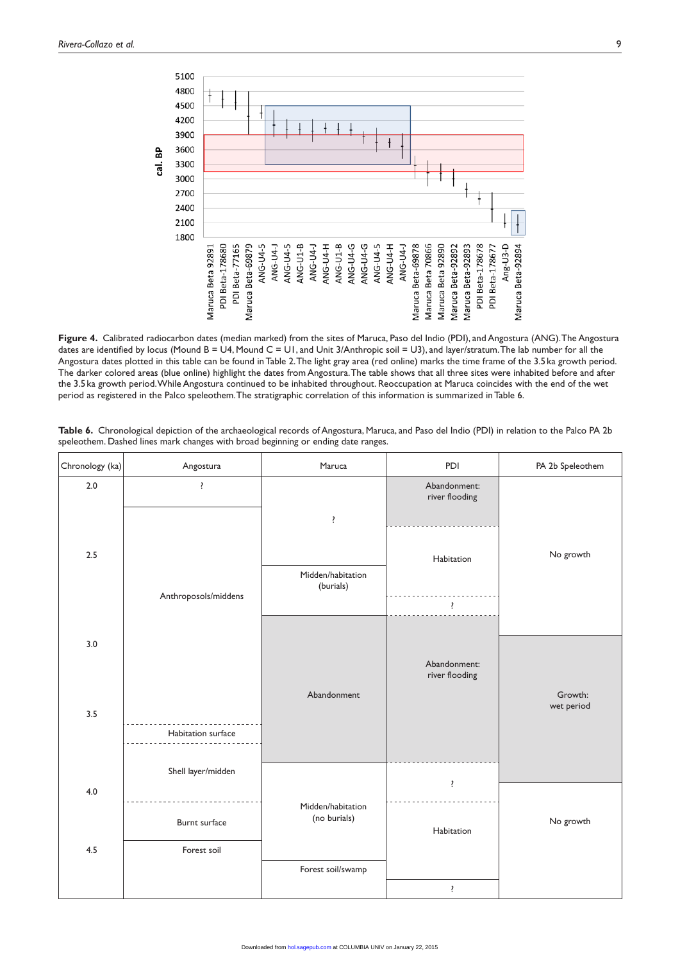

**Figure 4.** Calibrated radiocarbon dates (median marked) from the sites of Maruca, Paso del Indio (PDI), and Angostura (ANG). The Angostura dates are identified by locus (Mound B = U4, Mound C = U1, and Unit 3/Anthropic soil = U3), and layer/stratum. The lab number for all the Angostura dates plotted in this table can be found in Table 2. The light gray area (red online) marks the time frame of the 3.5ka growth period. The darker colored areas (blue online) highlight the dates from Angostura. The table shows that all three sites were inhabited before and after the 3.5ka growth period. While Angostura continued to be inhabited throughout. Reoccupation at Maruca coincides with the end of the wet period as registered in the Palco speleothem. The stratigraphic correlation of this information is summarized in Table 6.

| Table 6. Chronological depiction of the archaeological records of Angostura, Maruca, and Paso del Indio (PDI) in relation to the Palco PA 2b |  |  |  |  |  |  |  |
|----------------------------------------------------------------------------------------------------------------------------------------------|--|--|--|--|--|--|--|
| speleothem. Dashed lines mark changes with broad beginning or ending date ranges.                                                            |  |  |  |  |  |  |  |

| Chronology (ka) | Angostura                    | Maruca                              | PDI                            | PA 2b Speleothem      |  |
|-----------------|------------------------------|-------------------------------------|--------------------------------|-----------------------|--|
| 2.0             | $\ddot{?}$                   |                                     | Abandonment:<br>river flooding |                       |  |
| 2.5             |                              | ŗ<br>Midden/habitation<br>(burials) | Habitation                     | No growth             |  |
|                 | Anthroposols/middens         |                                     | ŗ                              |                       |  |
| 3.0<br>3.5      |                              | Abandonment                         | Abandonment:<br>river flooding | Growth:<br>wet period |  |
|                 | Habitation surface           |                                     |                                |                       |  |
| 4.0             | Shell layer/midden           |                                     | ì                              |                       |  |
| 4.5             | Burnt surface<br>Forest soil | Midden/habitation<br>(no burials)   | Habitation                     | No growth             |  |
|                 |                              | Forest soil/swamp                   |                                |                       |  |
|                 |                              |                                     | ŗ                              |                       |  |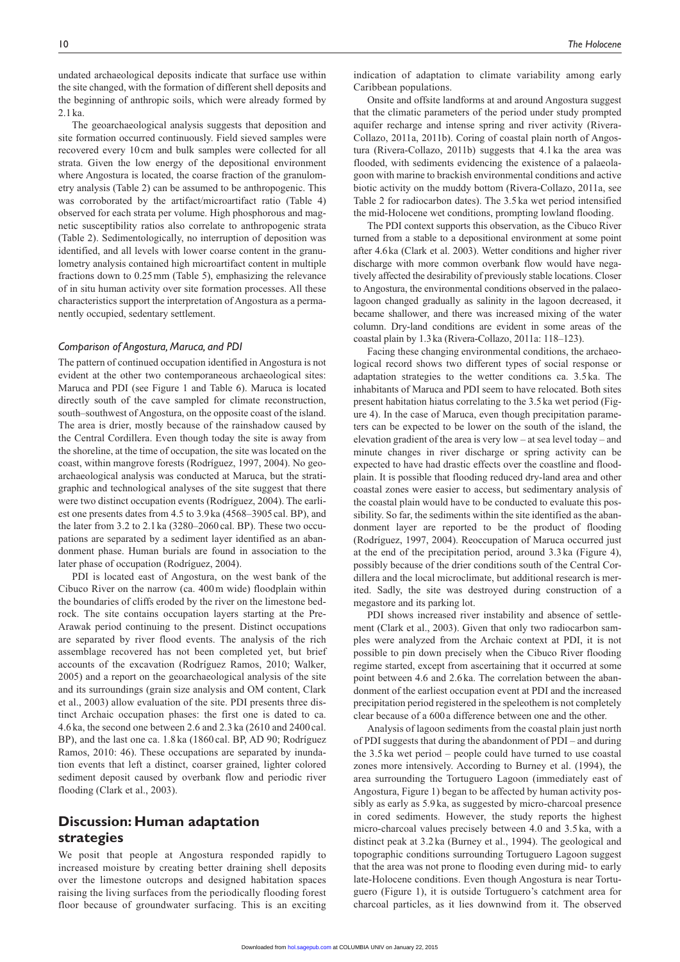undated archaeological deposits indicate that surface use within the site changed, with the formation of different shell deposits and the beginning of anthropic soils, which were already formed by 2.1ka.

The geoarchaeological analysis suggests that deposition and site formation occurred continuously. Field sieved samples were recovered every 10 cm and bulk samples were collected for all strata. Given the low energy of the depositional environment where Angostura is located, the coarse fraction of the granulometry analysis (Table 2) can be assumed to be anthropogenic. This was corroborated by the artifact/microartifact ratio (Table 4) observed for each strata per volume. High phosphorous and magnetic susceptibility ratios also correlate to anthropogenic strata (Table 2). Sedimentologically, no interruption of deposition was identified, and all levels with lower coarse content in the granulometry analysis contained high microartifact content in multiple fractions down to 0.25mm (Table 5), emphasizing the relevance of in situ human activity over site formation processes. All these characteristics support the interpretation of Angostura as a permanently occupied, sedentary settlement.

### *Comparison of Angostura, Maruca, and PDI*

The pattern of continued occupation identified in Angostura is not evident at the other two contemporaneous archaeological sites: Maruca and PDI (see Figure 1 and Table 6). Maruca is located directly south of the cave sampled for climate reconstruction, south–southwest of Angostura, on the opposite coast of the island. The area is drier, mostly because of the rainshadow caused by the Central Cordillera. Even though today the site is away from the shoreline, at the time of occupation, the site was located on the coast, within mangrove forests (Rodríguez, 1997, 2004). No geoarchaeological analysis was conducted at Maruca, but the stratigraphic and technological analyses of the site suggest that there were two distinct occupation events (Rodríguez, 2004). The earliest one presents dates from 4.5 to 3.9ka (4568–3905cal. BP), and the later from 3.2 to 2.1 ka (3280–2060 cal. BP). These two occupations are separated by a sediment layer identified as an abandonment phase. Human burials are found in association to the later phase of occupation (Rodríguez, 2004).

PDI is located east of Angostura, on the west bank of the Cibuco River on the narrow (ca. 400m wide) floodplain within the boundaries of cliffs eroded by the river on the limestone bedrock. The site contains occupation layers starting at the Pre-Arawak period continuing to the present. Distinct occupations are separated by river flood events. The analysis of the rich assemblage recovered has not been completed yet, but brief accounts of the excavation (Rodríguez Ramos, 2010; Walker, 2005) and a report on the geoarchaeological analysis of the site and its surroundings (grain size analysis and OM content, Clark et al., 2003) allow evaluation of the site. PDI presents three distinct Archaic occupation phases: the first one is dated to ca. 4.6 ka, the second one between 2.6 and 2.3 ka (2610 and 2400 cal. BP), and the last one ca. 1.8 ka (1860 cal. BP, AD 90; Rodríguez Ramos, 2010: 46). These occupations are separated by inundation events that left a distinct, coarser grained, lighter colored sediment deposit caused by overbank flow and periodic river flooding (Clark et al., 2003).

# **Discussion: Human adaptation strategies**

We posit that people at Angostura responded rapidly to increased moisture by creating better draining shell deposits over the limestone outcrops and designed habitation spaces raising the living surfaces from the periodically flooding forest floor because of groundwater surfacing. This is an exciting indication of adaptation to climate variability among early Caribbean populations.

Onsite and offsite landforms at and around Angostura suggest that the climatic parameters of the period under study prompted aquifer recharge and intense spring and river activity (Rivera-Collazo, 2011a, 2011b). Coring of coastal plain north of Angostura (Rivera-Collazo, 2011b) suggests that 4.1ka the area was flooded, with sediments evidencing the existence of a palaeolagoon with marine to brackish environmental conditions and active biotic activity on the muddy bottom (Rivera-Collazo, 2011a, see Table 2 for radiocarbon dates). The 3.5 ka wet period intensified the mid-Holocene wet conditions, prompting lowland flooding.

The PDI context supports this observation, as the Cibuco River turned from a stable to a depositional environment at some point after 4.6ka (Clark et al. 2003). Wetter conditions and higher river discharge with more common overbank flow would have negatively affected the desirability of previously stable locations. Closer to Angostura, the environmental conditions observed in the palaeolagoon changed gradually as salinity in the lagoon decreased, it became shallower, and there was increased mixing of the water column. Dry-land conditions are evident in some areas of the coastal plain by 1.3ka (Rivera-Collazo, 2011a: 118–123).

Facing these changing environmental conditions, the archaeological record shows two different types of social response or adaptation strategies to the wetter conditions ca. 3.5ka. The inhabitants of Maruca and PDI seem to have relocated. Both sites present habitation hiatus correlating to the 3.5ka wet period (Figure 4). In the case of Maruca, even though precipitation parameters can be expected to be lower on the south of the island, the elevation gradient of the area is very low – at sea level today – and minute changes in river discharge or spring activity can be expected to have had drastic effects over the coastline and floodplain. It is possible that flooding reduced dry-land area and other coastal zones were easier to access, but sedimentary analysis of the coastal plain would have to be conducted to evaluate this possibility. So far, the sediments within the site identified as the abandonment layer are reported to be the product of flooding (Rodríguez, 1997, 2004). Reoccupation of Maruca occurred just at the end of the precipitation period, around 3.3 ka (Figure 4), possibly because of the drier conditions south of the Central Cordillera and the local microclimate, but additional research is merited. Sadly, the site was destroyed during construction of a megastore and its parking lot.

PDI shows increased river instability and absence of settlement (Clark et al., 2003). Given that only two radiocarbon samples were analyzed from the Archaic context at PDI, it is not possible to pin down precisely when the Cibuco River flooding regime started, except from ascertaining that it occurred at some point between 4.6 and 2.6 ka. The correlation between the abandonment of the earliest occupation event at PDI and the increased precipitation period registered in the speleothem is not completely clear because of a 600 a difference between one and the other.

Analysis of lagoon sediments from the coastal plain just north of PDI suggests that during the abandonment of PDI – and during the 3.5 ka wet period – people could have turned to use coastal zones more intensively. According to Burney et al. (1994), the area surrounding the Tortuguero Lagoon (immediately east of Angostura, Figure 1) began to be affected by human activity possibly as early as 5.9 ka, as suggested by micro-charcoal presence in cored sediments. However, the study reports the highest micro-charcoal values precisely between 4.0 and 3.5 ka, with a distinct peak at 3.2 ka (Burney et al., 1994). The geological and topographic conditions surrounding Tortuguero Lagoon suggest that the area was not prone to flooding even during mid- to early late-Holocene conditions. Even though Angostura is near Tortuguero (Figure 1), it is outside Tortuguero's catchment area for charcoal particles, as it lies downwind from it. The observed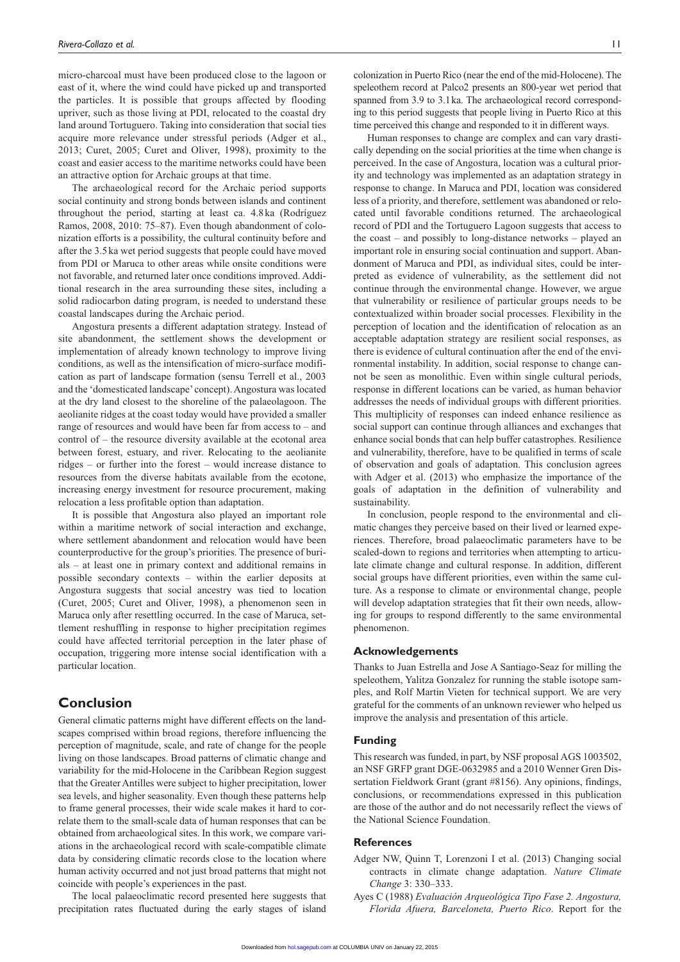micro-charcoal must have been produced close to the lagoon or east of it, where the wind could have picked up and transported the particles. It is possible that groups affected by flooding upriver, such as those living at PDI, relocated to the coastal dry land around Tortuguero. Taking into consideration that social ties acquire more relevance under stressful periods (Adger et al., 2013; Curet, 2005; Curet and Oliver, 1998), proximity to the coast and easier access to the maritime networks could have been an attractive option for Archaic groups at that time.

The archaeological record for the Archaic period supports social continuity and strong bonds between islands and continent throughout the period, starting at least ca. 4.8ka (Rodríguez Ramos, 2008, 2010: 75–87). Even though abandonment of colonization efforts is a possibility, the cultural continuity before and after the 3.5 ka wet period suggests that people could have moved from PDI or Maruca to other areas while onsite conditions were not favorable, and returned later once conditions improved. Additional research in the area surrounding these sites, including a solid radiocarbon dating program, is needed to understand these coastal landscapes during the Archaic period.

Angostura presents a different adaptation strategy. Instead of site abandonment, the settlement shows the development or implementation of already known technology to improve living conditions, as well as the intensification of micro-surface modification as part of landscape formation (sensu Terrell et al., 2003 and the 'domesticated landscape' concept). Angostura was located at the dry land closest to the shoreline of the palaeolagoon. The aeolianite ridges at the coast today would have provided a smaller range of resources and would have been far from access to – and control of – the resource diversity available at the ecotonal area between forest, estuary, and river. Relocating to the aeolianite ridges – or further into the forest – would increase distance to resources from the diverse habitats available from the ecotone, increasing energy investment for resource procurement, making relocation a less profitable option than adaptation.

It is possible that Angostura also played an important role within a maritime network of social interaction and exchange, where settlement abandonment and relocation would have been counterproductive for the group's priorities. The presence of burials – at least one in primary context and additional remains in possible secondary contexts – within the earlier deposits at Angostura suggests that social ancestry was tied to location (Curet, 2005; Curet and Oliver, 1998), a phenomenon seen in Maruca only after resettling occurred. In the case of Maruca, settlement reshuffling in response to higher precipitation regimes could have affected territorial perception in the later phase of occupation, triggering more intense social identification with a particular location.

### **Conclusion**

General climatic patterns might have different effects on the landscapes comprised within broad regions, therefore influencing the perception of magnitude, scale, and rate of change for the people living on those landscapes. Broad patterns of climatic change and variability for the mid-Holocene in the Caribbean Region suggest that the Greater Antilles were subject to higher precipitation, lower sea levels, and higher seasonality. Even though these patterns help to frame general processes, their wide scale makes it hard to correlate them to the small-scale data of human responses that can be obtained from archaeological sites. In this work, we compare variations in the archaeological record with scale-compatible climate data by considering climatic records close to the location where human activity occurred and not just broad patterns that might not coincide with people's experiences in the past.

The local palaeoclimatic record presented here suggests that precipitation rates fluctuated during the early stages of island

colonization in Puerto Rico (near the end of the mid-Holocene). The speleothem record at Palco2 presents an 800-year wet period that spanned from 3.9 to 3.1ka. The archaeological record corresponding to this period suggests that people living in Puerto Rico at this time perceived this change and responded to it in different ways.

Human responses to change are complex and can vary drastically depending on the social priorities at the time when change is perceived. In the case of Angostura, location was a cultural priority and technology was implemented as an adaptation strategy in response to change. In Maruca and PDI, location was considered less of a priority, and therefore, settlement was abandoned or relocated until favorable conditions returned. The archaeological record of PDI and the Tortuguero Lagoon suggests that access to the coast – and possibly to long-distance networks – played an important role in ensuring social continuation and support. Abandonment of Maruca and PDI, as individual sites, could be interpreted as evidence of vulnerability, as the settlement did not continue through the environmental change. However, we argue that vulnerability or resilience of particular groups needs to be contextualized within broader social processes. Flexibility in the perception of location and the identification of relocation as an acceptable adaptation strategy are resilient social responses, as there is evidence of cultural continuation after the end of the environmental instability. In addition, social response to change cannot be seen as monolithic. Even within single cultural periods, response in different locations can be varied, as human behavior addresses the needs of individual groups with different priorities. This multiplicity of responses can indeed enhance resilience as social support can continue through alliances and exchanges that enhance social bonds that can help buffer catastrophes. Resilience and vulnerability, therefore, have to be qualified in terms of scale of observation and goals of adaptation. This conclusion agrees with Adger et al. (2013) who emphasize the importance of the goals of adaptation in the definition of vulnerability and sustainability.

In conclusion, people respond to the environmental and climatic changes they perceive based on their lived or learned experiences. Therefore, broad palaeoclimatic parameters have to be scaled-down to regions and territories when attempting to articulate climate change and cultural response. In addition, different social groups have different priorities, even within the same culture. As a response to climate or environmental change, people will develop adaptation strategies that fit their own needs, allowing for groups to respond differently to the same environmental phenomenon.

### **Acknowledgements**

Thanks to Juan Estrella and Jose A Santiago-Seaz for milling the speleothem, Yalitza Gonzalez for running the stable isotope samples, and Rolf Martin Vieten for technical support. We are very grateful for the comments of an unknown reviewer who helped us improve the analysis and presentation of this article.

#### **Funding**

This research was funded, in part, by NSF proposal AGS 1003502, an NSF GRFP grant DGE-0632985 and a 2010 Wenner Gren Dissertation Fieldwork Grant (grant #8156). Any opinions, findings, conclusions, or recommendations expressed in this publication are those of the author and do not necessarily reflect the views of the National Science Foundation.

### **References**

- Adger NW, Quinn T, Lorenzoni I et al. (2013) Changing social contracts in climate change adaptation. *Nature Climate Change* 3: 330–333.
- Ayes C (1988) *Evaluación Arqueológica Tipo Fase 2. Angostura, Florida Afuera, Barceloneta, Puerto Rico*. Report for the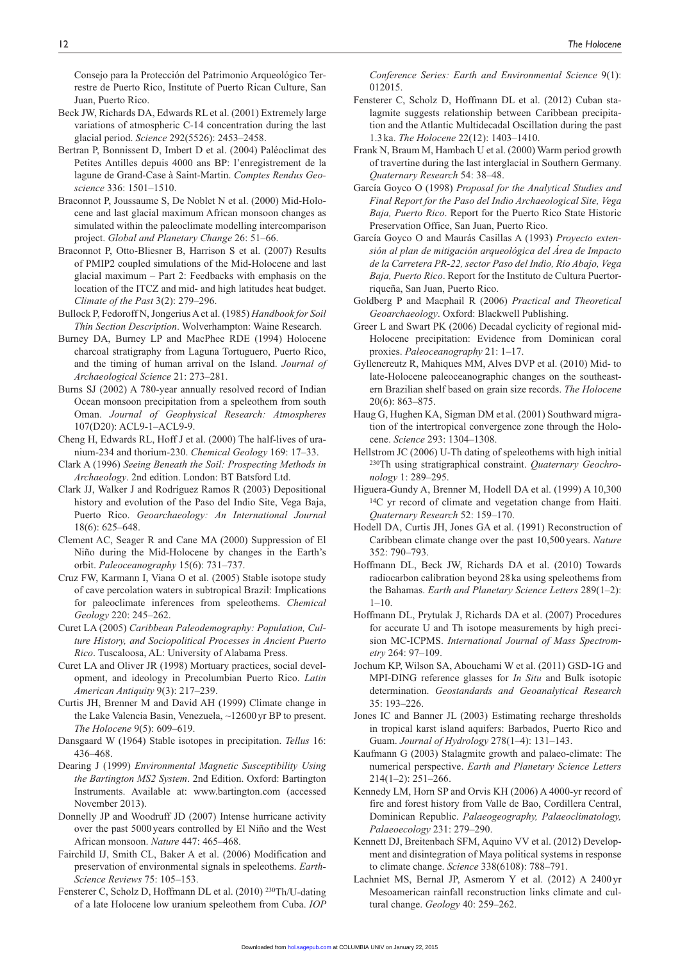Consejo para la Protección del Patrimonio Arqueológico Terrestre de Puerto Rico, Institute of Puerto Rican Culture, San Juan, Puerto Rico.

- Beck JW, Richards DA, Edwards RL et al. (2001) Extremely large variations of atmospheric C-14 concentration during the last glacial period. *Science* 292(5526): 2453–2458.
- Bertran P, Bonnissent D, Imbert D et al. (2004) Paléoclimat des Petites Antilles depuis 4000 ans BP: l'enregistrement de la lagune de Grand-Case à Saint-Martin. *Comptes Rendus Geoscience* 336: 1501–1510.
- Braconnot P, Joussaume S, De Noblet N et al. (2000) Mid-Holocene and last glacial maximum African monsoon changes as simulated within the paleoclimate modelling intercomparison project. *Global and Planetary Change* 26: 51–66.
- Braconnot P, Otto-Bliesner B, Harrison S et al. (2007) Results of PMIP2 coupled simulations of the Mid-Holocene and last glacial maximum – Part 2: Feedbacks with emphasis on the location of the ITCZ and mid- and high latitudes heat budget. *Climate of the Past* 3(2): 279–296.
- Bullock P, Fedoroff N, Jongerius A et al. (1985) *Handbook for Soil Thin Section Description*. Wolverhampton: Waine Research.
- Burney DA, Burney LP and MacPhee RDE (1994) Holocene charcoal stratigraphy from Laguna Tortuguero, Puerto Rico, and the timing of human arrival on the Island. *Journal of Archaeological Science* 21: 273–281.
- Burns SJ (2002) A 780-year annually resolved record of Indian Ocean monsoon precipitation from a speleothem from south Oman. *Journal of Geophysical Research: Atmospheres* 107(D20): ACL9-1–ACL9-9.
- Cheng H, Edwards RL, Hoff J et al. (2000) The half-lives of uranium-234 and thorium-230. *Chemical Geology* 169: 17–33.
- Clark A (1996) *Seeing Beneath the Soil: Prospecting Methods in Archaeology*. 2nd edition. London: BT Batsford Ltd.
- Clark JJ, Walker J and Rodríguez Ramos R (2003) Depositional history and evolution of the Paso del Indio Site, Vega Baja, Puerto Rico. *Geoarchaeology: An International Journal* 18(6): 625–648.
- Clement AC, Seager R and Cane MA (2000) Suppression of El Niño during the Mid-Holocene by changes in the Earth's orbit. *Paleoceanography* 15(6): 731–737.
- Cruz FW, Karmann I, Viana O et al. (2005) Stable isotope study of cave percolation waters in subtropical Brazil: Implications for paleoclimate inferences from speleothems. *Chemical Geology* 220: 245–262.
- Curet LA (2005) *Caribbean Paleodemography: Population, Culture History, and Sociopolitical Processes in Ancient Puerto Rico*. Tuscaloosa, AL: University of Alabama Press.
- Curet LA and Oliver JR (1998) Mortuary practices, social development, and ideology in Precolumbian Puerto Rico. *Latin American Antiquity* 9(3): 217–239.
- Curtis JH, Brenner M and David AH (1999) Climate change in the Lake Valencia Basin, Venezuela, ~12600yr BP to present. *The Holocene* 9(5): 609–619.
- Dansgaard W (1964) Stable isotopes in precipitation. *Tellus* 16: 436–468.
- Dearing J (1999) *Environmental Magnetic Susceptibility Using the Bartington MS2 System*. 2nd Edition. Oxford: Bartington Instruments. Available at: www.bartington.com (accessed November 2013).
- Donnelly JP and Woodruff JD (2007) Intense hurricane activity over the past 5000 years controlled by El Niño and the West African monsoon. *Nature* 447: 465–468.
- Fairchild IJ, Smith CL, Baker A et al. (2006) Modification and preservation of environmental signals in speleothems. *Earth-Science Reviews* 75: 105–153.
- Fensterer C, Scholz D, Hoffmann DL et al. (2010) 230Th/U-dating of a late Holocene low uranium speleothem from Cuba. *IOP*

*Conference Series: Earth and Environmental Science* 9(1): 012015.

- Fensterer C, Scholz D, Hoffmann DL et al. (2012) Cuban stalagmite suggests relationship between Caribbean precipitation and the Atlantic Multidecadal Oscillation during the past 1.3ka. *The Holocene* 22(12): 1403–1410.
- Frank N, Braum M, Hambach U et al. (2000) Warm period growth of travertine during the last interglacial in Southern Germany. *Quaternary Research* 54: 38–48.
- García Goyco O (1998) *Proposal for the Analytical Studies and Final Report for the Paso del Indio Archaeological Site, Vega Baja, Puerto Rico*. Report for the Puerto Rico State Historic Preservation Office, San Juan, Puerto Rico.
- García Goyco O and Maurás Casillas A (1993) *Proyecto extensión al plan de mitigación arqueológica del Área de Impacto de la Carretera PR-22, sector Paso del Indio, Río Abajo, Vega Baja, Puerto Rico*. Report for the Instituto de Cultura Puertorriqueña, San Juan, Puerto Rico.
- Goldberg P and Macphail R (2006) *Practical and Theoretical Geoarchaeology*. Oxford: Blackwell Publishing.
- Greer L and Swart PK (2006) Decadal cyclicity of regional mid-Holocene precipitation: Evidence from Dominican coral proxies. *Paleoceanography* 21: 1–17.
- Gyllencreutz R, Mahiques MM, Alves DVP et al. (2010) Mid- to late-Holocene paleoceanographic changes on the southeastern Brazilian shelf based on grain size records. *The Holocene* 20(6): 863–875.
- Haug G, Hughen KA, Sigman DM et al. (2001) Southward migration of the intertropical convergence zone through the Holocene. *Science* 293: 1304–1308.
- Hellstrom JC (2006) U-Th dating of speleothems with high initial 230Th using stratigraphical constraint. *Quaternary Geochronology* 1: 289–295.
- Higuera-Gundy A, Brenner M, Hodell DA et al. (1999) A 10,300 <sup>14</sup>C yr record of climate and vegetation change from Haiti. *Quaternary Research* 52: 159–170.
- Hodell DA, Curtis JH, Jones GA et al. (1991) Reconstruction of Caribbean climate change over the past 10,500 years. *Nature* 352: 790–793.
- Hoffmann DL, Beck JW, Richards DA et al. (2010) Towards radiocarbon calibration beyond 28 ka using speleothems from the Bahamas. *Earth and Planetary Science Letters* 289(1–2):  $1-10$ .
- Hoffmann DL, Prytulak J, Richards DA et al. (2007) Procedures for accurate U and Th isotope measurements by high precision MC-ICPMS. *International Journal of Mass Spectrometry* 264: 97–109.
- Jochum KP, Wilson SA, Abouchami W et al. (2011) GSD-1G and MPI-DING reference glasses for *In Situ* and Bulk isotopic determination. *Geostandards and Geoanalytical Research* 35: 193–226.
- Jones IC and Banner JL (2003) Estimating recharge thresholds in tropical karst island aquifers: Barbados, Puerto Rico and Guam. *Journal of Hydrology* 278(1–4): 131–143.
- Kaufmann G (2003) Stalagmite growth and palaeo-climate: The numerical perspective. *Earth and Planetary Science Letters* 214(1–2): 251–266.
- Kennedy LM, Horn SP and Orvis KH (2006) A 4000-yr record of fire and forest history from Valle de Bao, Cordillera Central, Dominican Republic. *Palaeogeography, Palaeoclimatology, Palaeoecology* 231: 279–290.
- Kennett DJ, Breitenbach SFM, Aquino VV et al. (2012) Development and disintegration of Maya political systems in response to climate change. *Science* 338(6108): 788–791.
- Lachniet MS, Bernal JP, Asmerom Y et al. (2012) A 2400yr Mesoamerican rainfall reconstruction links climate and cultural change. *Geology* 40: 259–262.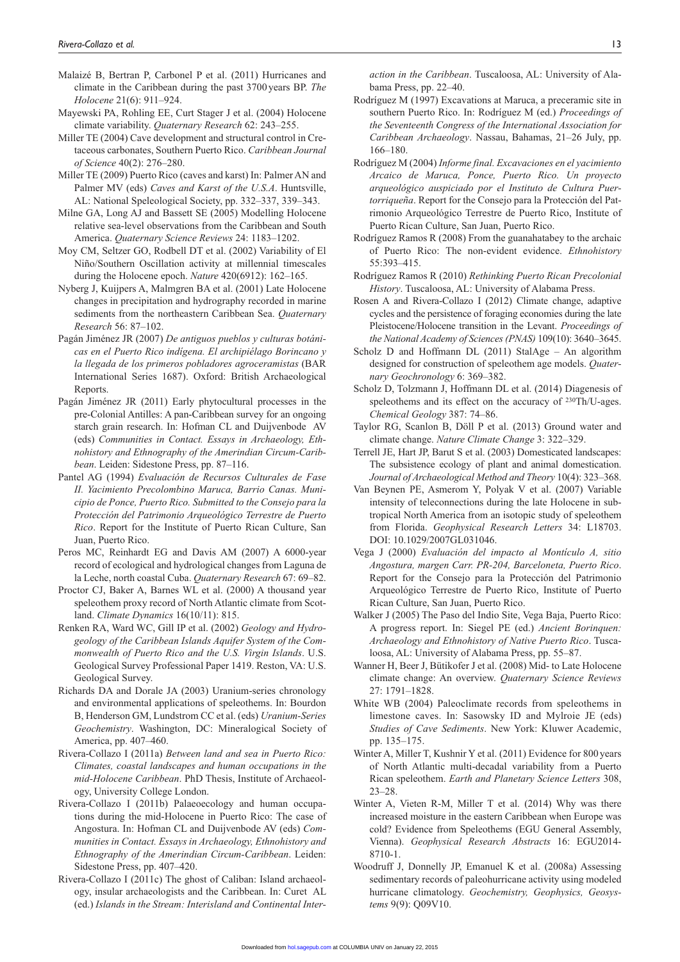- Malaizé B, Bertran P, Carbonel P et al. (2011) Hurricanes and climate in the Caribbean during the past 3700 years BP. *The Holocene* 21(6): 911–924.
- Mayewski PA, Rohling EE, Curt Stager J et al. (2004) Holocene climate variability. *Quaternary Research* 62: 243–255.
- Miller TE (2004) Cave development and structural control in Cretaceous carbonates, Southern Puerto Rico. *Caribbean Journal of Science* 40(2): 276–280.
- Miller TE (2009) Puerto Rico (caves and karst) In: Palmer AN and Palmer MV (eds) *Caves and Karst of the U.S.A*. Huntsville, AL: National Speleological Society, pp. 332–337, 339–343.
- Milne GA, Long AJ and Bassett SE (2005) Modelling Holocene relative sea-level observations from the Caribbean and South America. *Quaternary Science Reviews* 24: 1183–1202.
- Moy CM, Seltzer GO, Rodbell DT et al. (2002) Variability of El Niño/Southern Oscillation activity at millennial timescales during the Holocene epoch. *Nature* 420(6912): 162–165.
- Nyberg J, Kuijpers A, Malmgren BA et al. (2001) Late Holocene changes in precipitation and hydrography recorded in marine sediments from the northeastern Caribbean Sea. *Quaternary Research* 56: 87–102.
- Pagán Jiménez JR (2007) *De antiguos pueblos y culturas botánicas en el Puerto Rico indígena. El archipiélago Borincano y la llegada de los primeros pobladores agroceramistas* (BAR International Series 1687). Oxford: British Archaeological Reports.
- Pagán Jiménez JR (2011) Early phytocultural processes in the pre-Colonial Antilles: A pan-Caribbean survey for an ongoing starch grain research. In: Hofman CL and Duijvenbode AV (eds) *Communities in Contact. Essays in Archaeology, Ethnohistory and Ethnography of the Amerindian Circum-Caribbean*. Leiden: Sidestone Press, pp. 87–116.
- Pantel AG (1994) *Evaluación de Recursos Culturales de Fase II. Yacimiento Precolombino Maruca, Barrio Canas. Municipio de Ponce, Puerto Rico. Submitted to the Consejo para la Protección del Patrimonio Arqueológico Terrestre de Puerto Rico*. Report for the Institute of Puerto Rican Culture, San Juan, Puerto Rico.
- Peros MC, Reinhardt EG and Davis AM (2007) A 6000-year record of ecological and hydrological changes from Laguna de la Leche, north coastal Cuba. *Quaternary Research* 67: 69–82.
- Proctor CJ, Baker A, Barnes WL et al. (2000) A thousand year speleothem proxy record of North Atlantic climate from Scotland. *Climate Dynamics* 16(10/11): 815.
- Renken RA, Ward WC, Gill IP et al. (2002) *Geology and Hydrogeology of the Caribbean Islands Aquifer System of the Commonwealth of Puerto Rico and the U.S. Virgin Islands*. U.S. Geological Survey Professional Paper 1419. Reston, VA: U.S. Geological Survey.
- Richards DA and Dorale JA (2003) Uranium-series chronology and environmental applications of speleothems. In: Bourdon B, Henderson GM, Lundstrom CC et al. (eds) *Uranium-Series Geochemistry*. Washington, DC: Mineralogical Society of America, pp. 407–460.
- Rivera-Collazo I (2011a) *Between land and sea in Puerto Rico: Climates, coastal landscapes and human occupations in the mid-Holocene Caribbean*. PhD Thesis, Institute of Archaeology, University College London.
- Rivera-Collazo I (2011b) Palaeoecology and human occupations during the mid-Holocene in Puerto Rico: The case of Angostura. In: Hofman CL and Duijvenbode AV (eds) *Communities in Contact. Essays in Archaeology, Ethnohistory and Ethnography of the Amerindian Circum-Caribbean*. Leiden: Sidestone Press, pp. 407–420.
- Rivera-Collazo I (2011c) The ghost of Caliban: Island archaeology, insular archaeologists and the Caribbean. In: Curet AL (ed.) *Islands in the Stream: Interisland and Continental Inter-*

*action in the Caribbean*. Tuscaloosa, AL: University of Alabama Press, pp. 22–40.

- Rodríguez M (1997) Excavations at Maruca, a preceramic site in southern Puerto Rico. In: Rodríguez M (ed.) *Proceedings of the Seventeenth Congress of the International Association for Caribbean Archaeology*. Nassau, Bahamas, 21–26 July, pp. 166–180.
- Rodríguez M (2004) *Informe final. Excavaciones en el yacimiento Arcaico de Maruca, Ponce, Puerto Rico. Un proyecto arqueológico auspiciado por el Instituto de Cultura Puertorriqueña*. Report for the Consejo para la Protección del Patrimonio Arqueológico Terrestre de Puerto Rico, Institute of Puerto Rican Culture, San Juan, Puerto Rico.
- Rodríguez Ramos R (2008) From the guanahatabey to the archaic of Puerto Rico: The non-evident evidence. *Ethnohistory* 55:393–415.
- Rodríguez Ramos R (2010) *Rethinking Puerto Rican Precolonial History*. Tuscaloosa, AL: University of Alabama Press.
- Rosen A and Rivera-Collazo I (2012) Climate change, adaptive cycles and the persistence of foraging economies during the late Pleistocene/Holocene transition in the Levant. *Proceedings of the National Academy of Sciences (PNAS)* 109(10): 3640–3645.
- Scholz D and Hoffmann DL (2011) StalAge An algorithm designed for construction of speleothem age models. *Quaternary Geochronology* 6: 369–382.
- Scholz D, Tolzmann J, Hoffmann DL et al. (2014) Diagenesis of speleothems and its effect on the accuracy of 230Th/U-ages. *Chemical Geology* 387: 74–86.
- Taylor RG, Scanlon B, Döll P et al. (2013) Ground water and climate change. *Nature Climate Change* 3: 322–329.
- Terrell JE, Hart JP, Barut S et al. (2003) Domesticated landscapes: The subsistence ecology of plant and animal domestication. *Journal of Archaeological Method and Theory* 10(4): 323–368.
- Van Beynen PE, Asmerom Y, Polyak V et al. (2007) Variable intensity of teleconnections during the late Holocene in subtropical North America from an isotopic study of speleothem from Florida. *Geophysical Research Letters* 34: L18703. DOI: 10.1029/2007GL031046.
- Vega J (2000) *Evaluación del impacto al Montículo A, sitio Angostura, margen Carr. PR-204, Barceloneta, Puerto Rico*. Report for the Consejo para la Protección del Patrimonio Arqueológico Terrestre de Puerto Rico, Institute of Puerto Rican Culture, San Juan, Puerto Rico.
- Walker J (2005) The Paso del Indio Site, Vega Baja, Puerto Rico: A progress report. In: Siegel PE (ed.) *Ancient Borinquen: Archaeology and Ethnohistory of Native Puerto Rico*. Tuscaloosa, AL: University of Alabama Press, pp. 55–87.
- Wanner H, Beer J, Bütikofer J et al. (2008) Mid- to Late Holocene climate change: An overview. *Quaternary Science Reviews* 27: 1791–1828.
- White WB (2004) Paleoclimate records from speleothems in limestone caves. In: Sasowsky ID and Mylroie JE (eds) *Studies of Cave Sediments*. New York: Kluwer Academic, pp. 135–175.
- Winter A, Miller T, Kushnir Y et al. (2011) Evidence for 800 years of North Atlantic multi-decadal variability from a Puerto Rican speleothem. *Earth and Planetary Science Letters* 308, 23–28.
- Winter A, Vieten R-M, Miller T et al. (2014) Why was there increased moisture in the eastern Caribbean when Europe was cold? Evidence from Speleothems (EGU General Assembly, Vienna). *Geophysical Research Abstracts* 16: EGU2014- 8710-1.
- Woodruff J, Donnelly JP, Emanuel K et al. (2008a) Assessing sedimentary records of paleohurricane activity using modeled hurricane climatology. *Geochemistry, Geophysics, Geosystems* 9(9): Q09V10.